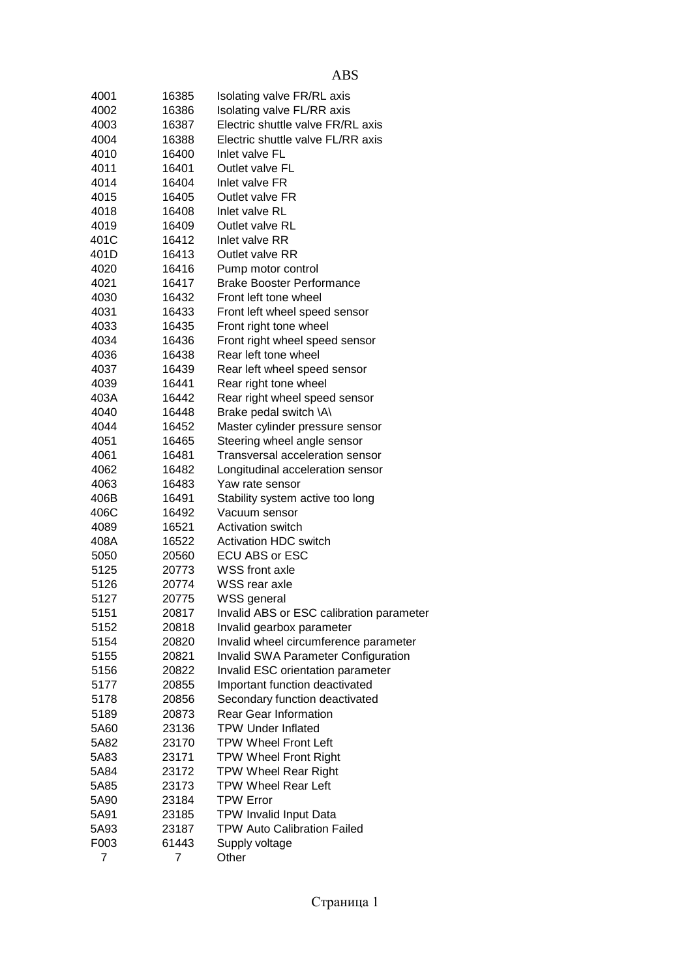| 4001           | 16385          | Isolating valve FR/RL axis                 |
|----------------|----------------|--------------------------------------------|
| 4002           | 16386          | Isolating valve FL/RR axis                 |
| 4003           | 16387          | Electric shuttle valve FR/RL axis          |
| 4004           | 16388          | Electric shuttle valve FL/RR axis          |
| 4010           | 16400          | Inlet valve FL                             |
| 4011           | 16401          | Outlet valve FL                            |
| 4014           | 16404          | Inlet valve FR                             |
| 4015           | 16405          | Outlet valve FR                            |
| 4018           | 16408          | Inlet valve RL                             |
| 4019           | 16409          | Outlet valve RL                            |
| 401C           | 16412          | Inlet valve RR                             |
| 401D           | 16413          | Outlet valve RR                            |
| 4020           | 16416          | Pump motor control                         |
| 4021           | 16417          | <b>Brake Booster Performance</b>           |
| 4030           | 16432          | Front left tone wheel                      |
| 4031           | 16433          | Front left wheel speed sensor              |
| 4033           | 16435          | Front right tone wheel                     |
| 4034           | 16436          | Front right wheel speed sensor             |
| 4036           | 16438          | Rear left tone wheel                       |
|                |                |                                            |
| 4037           | 16439          | Rear left wheel speed sensor               |
| 4039           | 16441          | Rear right tone wheel                      |
| 403A           | 16442          | Rear right wheel speed sensor              |
| 4040           | 16448          | Brake pedal switch \A\                     |
| 4044           | 16452          | Master cylinder pressure sensor            |
| 4051           | 16465          | Steering wheel angle sensor                |
| 4061           | 16481          | Transversal acceleration sensor            |
| 4062           | 16482          | Longitudinal acceleration sensor           |
| 4063           | 16483          | Yaw rate sensor                            |
| 406B           | 16491          | Stability system active too long           |
| 406C           | 16492          | Vacuum sensor                              |
| 4089           | 16521          | <b>Activation switch</b>                   |
| 408A           | 16522          | <b>Activation HDC switch</b>               |
| 5050           | 20560          | ECU ABS or ESC                             |
| 5125           | 20773          | <b>WSS</b> front axle                      |
| 5126           | 20774          | WSS rear axle                              |
| 5127           | 20775          | WSS general                                |
| 5151           | 20817          | Invalid ABS or ESC calibration parameter   |
| 5152           | 20818          | Invalid gearbox parameter                  |
| 5154           | 20820          | Invalid wheel circumference parameter      |
| 5155           | 20821          | <b>Invalid SWA Parameter Configuration</b> |
| 5156           | 20822          | Invalid ESC orientation parameter          |
| 5177           | 20855          | Important function deactivated             |
| 5178           | 20856          | Secondary function deactivated             |
| 5189           | 20873          | <b>Rear Gear Information</b>               |
| 5A60           | 23136          | <b>TPW Under Inflated</b>                  |
| 5A82           | 23170          | <b>TPW Wheel Front Left</b>                |
| 5A83           | 23171          | <b>TPW Wheel Front Right</b>               |
| 5A84           | 23172          | <b>TPW Wheel Rear Right</b>                |
| 5A85           | 23173          | <b>TPW Wheel Rear Left</b>                 |
| 5A90           | 23184          | <b>TPW Error</b>                           |
| 5A91           | 23185          | <b>TPW Invalid Input Data</b>              |
| 5A93           | 23187          | <b>TPW Auto Calibration Failed</b>         |
| F003           | 61443          | Supply voltage                             |
| $\overline{7}$ | $\overline{7}$ | Other                                      |
|                |                |                                            |

|  | ٠<br>۰. |
|--|---------|
|  |         |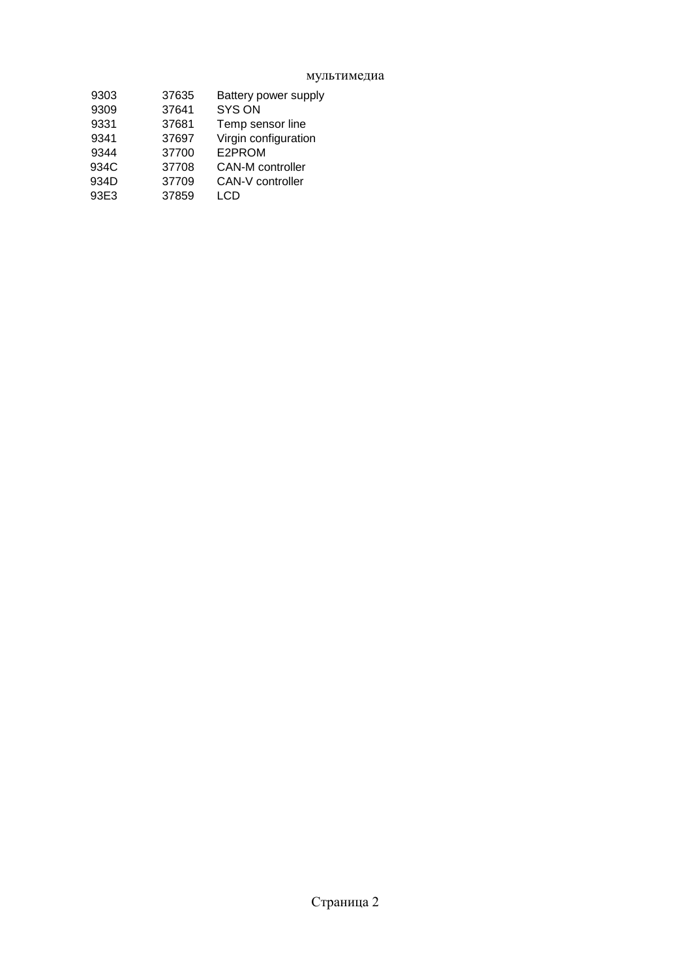мультимедиа

| 9303 | 37635 | Battery power supply    |
|------|-------|-------------------------|
| 9309 | 37641 | <b>SYS ON</b>           |
| 9331 | 37681 | Temp sensor line        |
| 9341 | 37697 | Virgin configuration    |
| 9344 | 37700 | E2PROM                  |
| 934C | 37708 | <b>CAN-M</b> controller |
| 934D | 37709 | CAN-V controller        |
| 93E3 | 37859 | LCD                     |
|      |       |                         |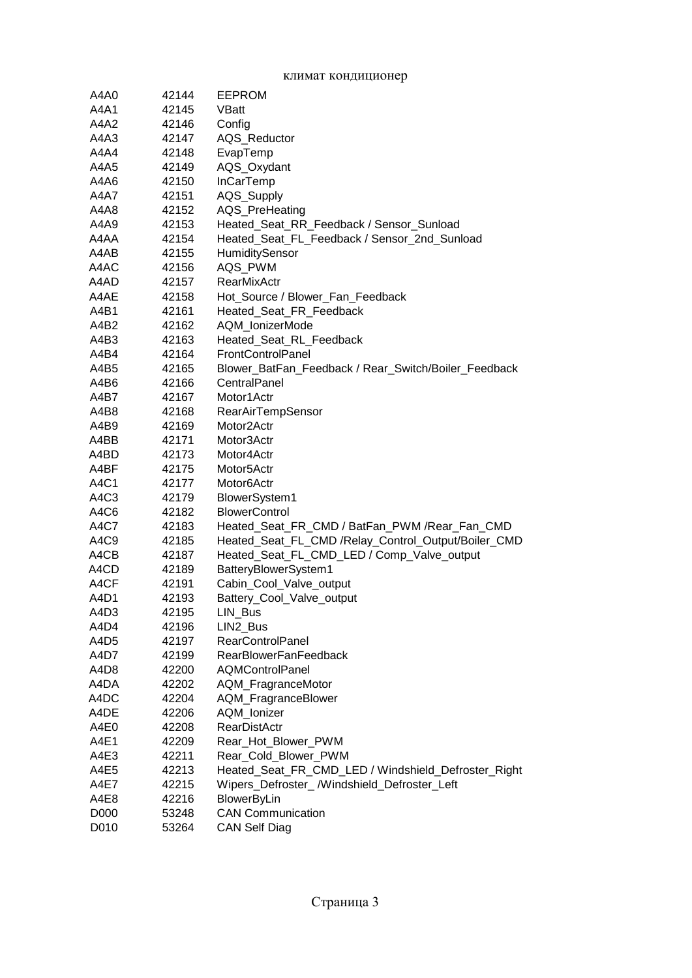| A4A0        | 42144 | <b>EEPROM</b>                                        |
|-------------|-------|------------------------------------------------------|
| A4A1        | 42145 | VBatt                                                |
| A4A2        | 42146 | Config                                               |
| A4A3        | 42147 | AQS_Reductor                                         |
| A4A4        | 42148 | EvapTemp                                             |
| A4A5        | 42149 | AQS_Oxydant                                          |
| A4A6        | 42150 | InCarTemp                                            |
| <b>A4A7</b> | 42151 | AQS_Supply                                           |
| A4A8        | 42152 | AQS_PreHeating                                       |
| A4A9        | 42153 | Heated_Seat_RR_Feedback / Sensor_Sunload             |
| A4AA        | 42154 | Heated_Seat_FL_Feedback / Sensor_2nd_Sunload         |
| A4AB        | 42155 | HumiditySensor                                       |
| A4AC        | 42156 | AQS_PWM                                              |
| A4AD        | 42157 | RearMixActr                                          |
| A4AE        | 42158 | Hot_Source / Blower_Fan_Feedback                     |
| A4B1        | 42161 | Heated_Seat_FR_Feedback                              |
| A4B2        | 42162 | AQM_lonizerMode                                      |
| A4B3        | 42163 | Heated Seat RL Feedback                              |
| A4B4        | 42164 | FrontControlPanel                                    |
| A4B5        | 42165 | Blower_BatFan_Feedback / Rear_Switch/Boiler_Feedback |
| A4B6        | 42166 | CentralPanel                                         |
| A4B7        | 42167 | Motor1Actr                                           |
| A4B8        | 42168 | RearAirTempSensor                                    |
| A4B9        | 42169 | Motor <sub>2</sub> Actr                              |
| A4BB        | 42171 | Motor3Actr                                           |
| A4BD        | 42173 | Motor4Actr                                           |
| A4BF        | 42175 | Motor5Actr                                           |
| A4C1        | 42177 | Motor <sub>6</sub> Actr                              |
| A4C3        | 42179 | BlowerSystem1                                        |
| A4C6        | 42182 | <b>BlowerControl</b>                                 |
| A4C7        | 42183 | Heated_Seat_FR_CMD / BatFan_PWM /Rear_Fan_CMD        |
| A4C9        | 42185 | Heated_Seat_FL_CMD /Relay_Control_Output/Boiler_CMD  |
| A4CB        | 42187 | Heated_Seat_FL_CMD_LED / Comp_Valve_output           |
| A4CD        | 42189 | BatteryBlowerSystem1                                 |
| A4CF        | 42191 | Cabin_Cool_Valve_output                              |
| A4D1        | 42193 | Battery_Cool_Valve_output                            |
| A4D3        | 42195 | LIN_Bus                                              |
| A4D4        | 42196 | LIN2_Bus                                             |
| A4D5        | 42197 | <b>RearControlPanel</b>                              |
| A4D7        | 42199 | <b>RearBlowerFanFeedback</b>                         |
| A4D8        | 42200 | <b>AQMControlPanel</b>                               |
| A4DA        | 42202 | AQM_FragranceMotor                                   |
| A4DC        | 42204 | AQM_FragranceBlower                                  |
| A4DE        | 42206 | AQM_Ionizer                                          |
| A4E0        | 42208 | <b>RearDistActr</b>                                  |
| A4E1        | 42209 | Rear_Hot_Blower_PWM                                  |
| A4E3        | 42211 | Rear_Cold_Blower_PWM                                 |
| A4E5        | 42213 | Heated_Seat_FR_CMD_LED / Windshield_Defroster_Right  |
| A4E7        | 42215 | Wipers_Defroster_/Windshield_Defroster_Left          |
| A4E8        | 42216 | <b>BlowerByLin</b>                                   |
| D000        | 53248 | <b>CAN Communication</b>                             |
| D010        | 53264 | <b>CAN Self Diag</b>                                 |

#### климат кондиционер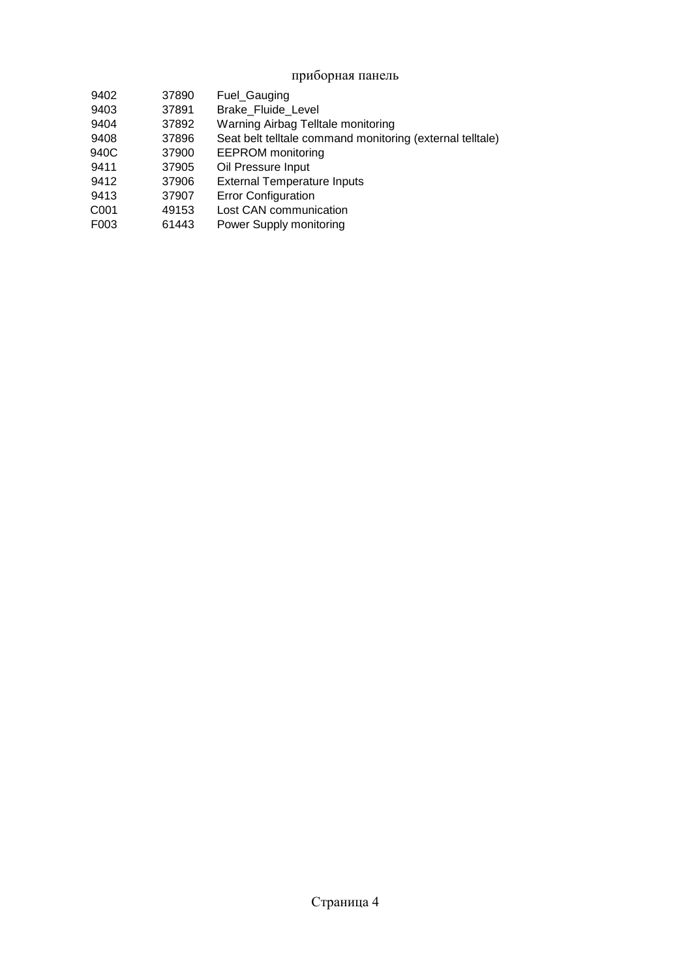# приборная панель

| 9402 | 37890 | Fuel_Gauging                                              |
|------|-------|-----------------------------------------------------------|
| 9403 | 37891 | <b>Brake Fluide Level</b>                                 |
| 9404 | 37892 | Warning Airbag Telltale monitoring                        |
| 9408 | 37896 | Seat belt telltale command monitoring (external telltale) |
| 940C | 37900 | <b>EEPROM</b> monitoring                                  |
| 9411 | 37905 | Oil Pressure Input                                        |
| 9412 | 37906 | <b>External Temperature Inputs</b>                        |
| 9413 | 37907 | <b>Error Configuration</b>                                |
| C001 | 49153 | Lost CAN communication                                    |
| F003 | 61443 | Power Supply monitoring                                   |
|      |       |                                                           |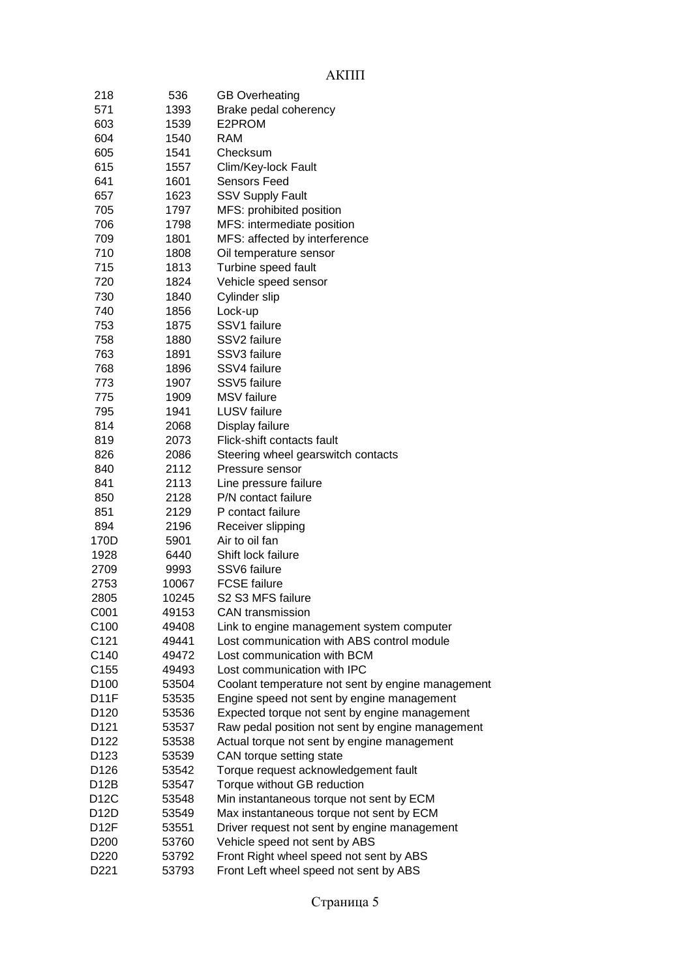# АКПП

| 218              | 536   | <b>GB Overheating</b>                             |
|------------------|-------|---------------------------------------------------|
| 571              | 1393  | Brake pedal coherency                             |
| 603              | 1539  | E2PROM                                            |
| 604              | 1540  | <b>RAM</b>                                        |
| 605              | 1541  | Checksum                                          |
| 615              | 1557  | Clim/Key-lock Fault                               |
| 641              | 1601  | Sensors Feed                                      |
| 657              | 1623  | <b>SSV Supply Fault</b>                           |
| 705              | 1797  | MFS: prohibited position                          |
| 706              | 1798  | MFS: intermediate position                        |
| 709              | 1801  | MFS: affected by interference                     |
| 710              | 1808  | Oil temperature sensor                            |
| 715              | 1813  | Turbine speed fault                               |
| 720              | 1824  | Vehicle speed sensor                              |
| 730              | 1840  | Cylinder slip                                     |
| 740              | 1856  | Lock-up                                           |
| 753              | 1875  | SSV1 failure                                      |
| 758              | 1880  | SSV2 failure                                      |
| 763              | 1891  | SSV3 failure                                      |
| 768              | 1896  | SSV4 failure                                      |
| 773              | 1907  | SSV5 failure                                      |
| 775              | 1909  | MSV failure                                       |
| 795              | 1941  | <b>LUSV</b> failure                               |
| 814              | 2068  | Display failure                                   |
| 819              | 2073  | Flick-shift contacts fault                        |
| 826              | 2086  | Steering wheel gearswitch contacts                |
| 840              | 2112  | Pressure sensor                                   |
| 841              | 2113  | Line pressure failure                             |
| 850              | 2128  | P/N contact failure                               |
| 851              | 2129  | P contact failure                                 |
| 894              | 2196  | Receiver slipping                                 |
| 170D             | 5901  | Air to oil fan                                    |
| 1928             | 6440  | Shift lock failure                                |
| 2709             | 9993  | SSV6 failure                                      |
| 2753             | 10067 | <b>FCSE</b> failure                               |
| 2805             | 10245 | S2 S3 MFS failure                                 |
| C001             | 49153 | <b>CAN</b> transmission                           |
| C100             | 49408 | Link to engine management system computer         |
| C121             | 49441 | Lost communication with ABS control module        |
| C140             | 49472 | Lost communication with BCM                       |
| C155             | 49493 | Lost communication with IPC                       |
| D <sub>100</sub> | 53504 | Coolant temperature not sent by engine management |
| D11F             | 53535 | Engine speed not sent by engine management        |
| D <sub>120</sub> | 53536 | Expected torque not sent by engine management     |
| D121             | 53537 | Raw pedal position not sent by engine management  |
| D122             | 53538 | Actual torque not sent by engine management       |
| D123             | 53539 | CAN torque setting state                          |
| D126             | 53542 | Torque request acknowledgement fault              |
| D12B             | 53547 | Torque without GB reduction                       |
| D12C             | 53548 | Min instantaneous torque not sent by ECM          |
| D12D             | 53549 | Max instantaneous torque not sent by ECM          |
| D12F             | 53551 | Driver request not sent by engine management      |
| D <sub>200</sub> | 53760 | Vehicle speed not sent by ABS                     |
| D220             | 53792 | Front Right wheel speed not sent by ABS           |
| D221             | 53793 | Front Left wheel speed not sent by ABS            |
|                  |       |                                                   |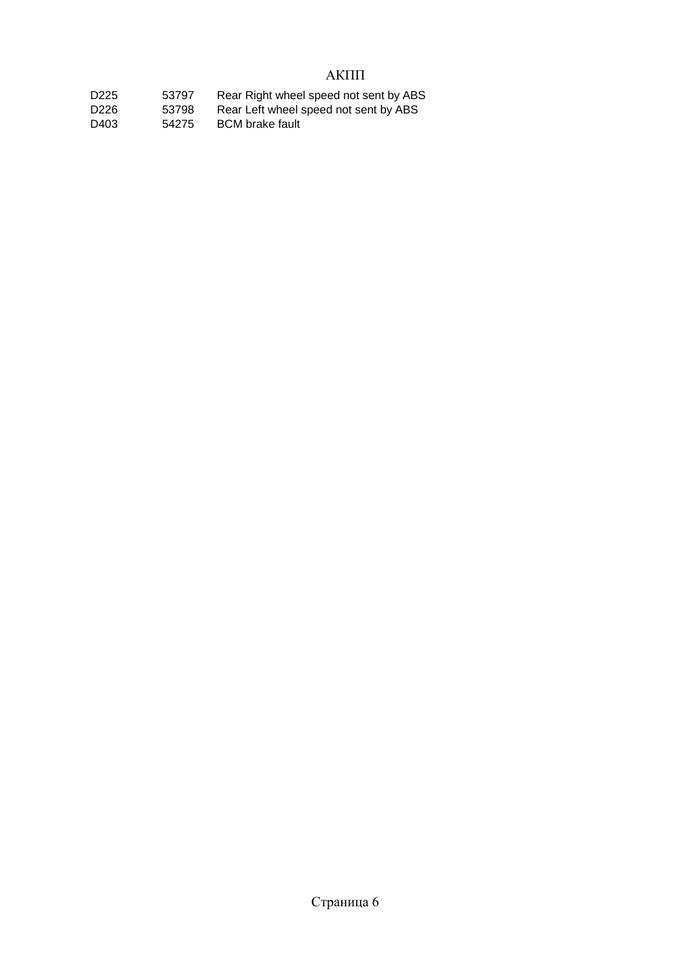# АКПП

| D <sub>225</sub> | 53797 | Rear Right wheel speed not sent by ABS |
|------------------|-------|----------------------------------------|
| D226             | 53798 | Rear Left wheel speed not sent by ABS  |
| D403             | 54275 | <b>BCM</b> brake fault                 |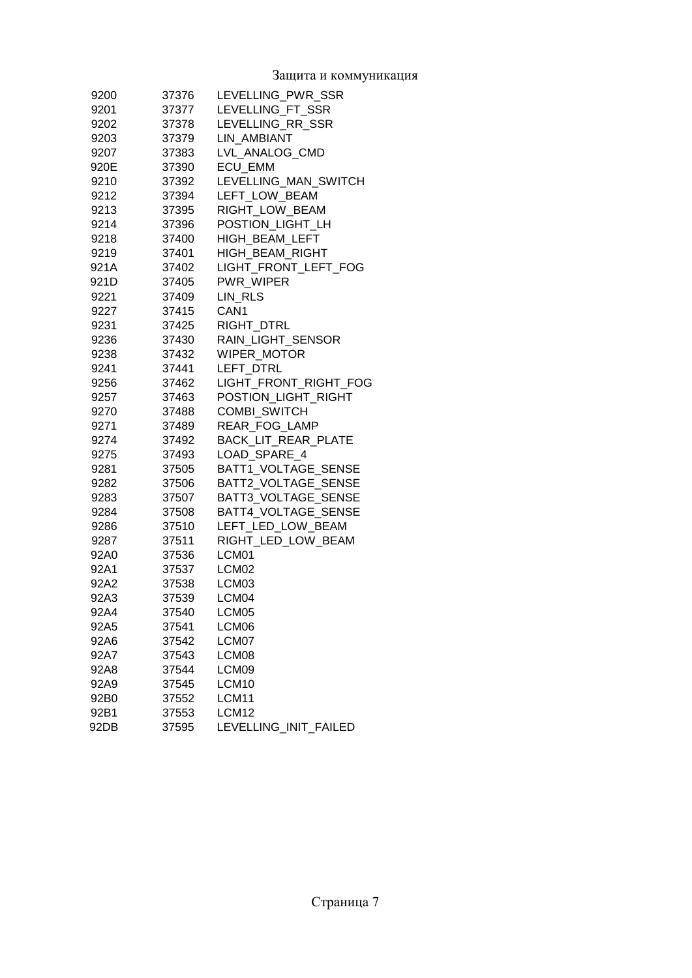Защита и коммуникация

| 9200 | 37376 | LEVELLING PWR SSR          |
|------|-------|----------------------------|
| 9201 | 37377 | LEVELLING FT SSR           |
| 9202 | 37378 | LEVELLING RR SSR           |
| 9203 | 37379 | LIN AMBIANT                |
| 9207 | 37383 | LVL ANALOG CMD             |
| 920E | 37390 | <b>ECU EMM</b>             |
| 9210 | 37392 | LEVELLING_MAN_SWITCH       |
| 9212 | 37394 | LEFT LOW BEAM              |
| 9213 | 37395 | RIGHT LOW BEAM             |
| 9214 | 37396 | POSTION LIGHT LH           |
| 9218 | 37400 | HIGH BEAM LEFT             |
| 9219 | 37401 | HIGH_BEAM_RIGHT            |
| 921A | 37402 | LIGHT_FRONT_LEFT_FOG       |
| 921D | 37405 | PWR WIPER                  |
| 9221 | 37409 | LIN RLS                    |
| 9227 | 37415 | CAN <sub>1</sub>           |
| 9231 | 37425 | <b>RIGHT DTRL</b>          |
| 9236 | 37430 | RAIN LIGHT SENSOR          |
| 9238 | 37432 | <b>WIPER MOTOR</b>         |
| 9241 | 37441 | LEFT DTRL                  |
| 9256 | 37462 | LIGHT FRONT RIGHT FOG      |
| 9257 | 37463 | POSTION LIGHT RIGHT        |
| 9270 | 37488 | <b>COMBI SWITCH</b>        |
| 9271 | 37489 | REAR FOG LAMP              |
| 9274 | 37492 | <b>BACK LIT REAR PLATE</b> |
| 9275 | 37493 | LOAD_SPARE_4               |
| 9281 | 37505 | BATT1_VOLTAGE_SENSE        |
| 9282 | 37506 | BATT2_VOLTAGE_SENSE        |
| 9283 | 37507 | BATT3_VOLTAGE_SENSE        |
| 9284 | 37508 | BATT4_VOLTAGE_SENSE        |
| 9286 | 37510 | LEFT LED LOW BEAM          |
| 9287 | 37511 | RIGHT LED LOW BEAM         |
| 92A0 | 37536 | LCM <sub>01</sub>          |
| 92A1 | 37537 | LCM02                      |
| 92A2 | 37538 | LCM <sub>03</sub>          |
| 92A3 | 37539 | LCM <sub>04</sub>          |
| 92A4 | 37540 | LCM05                      |
| 92A5 | 37541 | LCM06                      |
| 92A6 | 37542 | LCM07                      |
| 92A7 | 37543 | LCM08                      |
| 92A8 | 37544 | LCM09                      |
| 92A9 | 37545 | LCM10                      |
| 92B0 | 37552 | LCM11                      |
| 92B1 | 37553 | LCM12                      |
| 92DB | 37595 | LEVELLING_INIT_FAILED      |
|      |       |                            |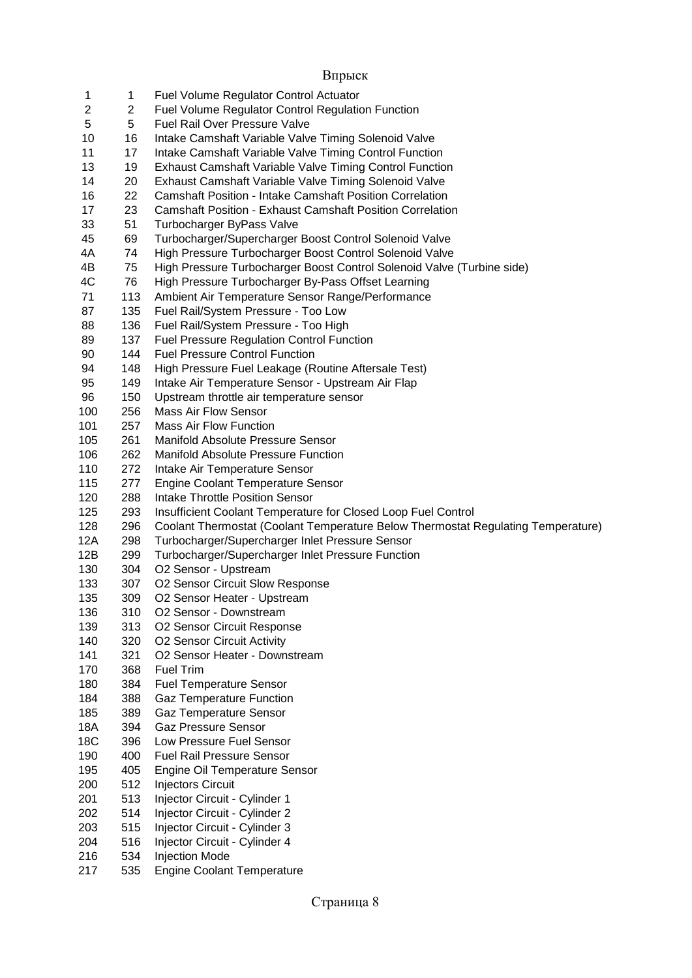| 1          | 1          | <b>Fuel Volume Regulator Control Actuator</b>                                    |
|------------|------------|----------------------------------------------------------------------------------|
| 2          | 2          | <b>Fuel Volume Regulator Control Regulation Function</b>                         |
| 5          | 5          | Fuel Rail Over Pressure Valve                                                    |
| 10         | 16         | Intake Camshaft Variable Valve Timing Solenoid Valve                             |
| 11         | 17         | Intake Camshaft Variable Valve Timing Control Function                           |
| 13         | 19         | <b>Exhaust Camshaft Variable Valve Timing Control Function</b>                   |
| 14         | 20         | Exhaust Camshaft Variable Valve Timing Solenoid Valve                            |
| 16         | 22         | <b>Camshaft Position - Intake Camshaft Position Correlation</b>                  |
| 17         | 23         | <b>Camshaft Position - Exhaust Camshaft Position Correlation</b>                 |
| 33         | 51         | Turbocharger ByPass Valve                                                        |
| 45         | 69         | Turbocharger/Supercharger Boost Control Solenoid Valve                           |
| 4A         | 74         | High Pressure Turbocharger Boost Control Solenoid Valve                          |
| 4B         | 75         | High Pressure Turbocharger Boost Control Solenoid Valve (Turbine side)           |
| 4C         | 76         | High Pressure Turbocharger By-Pass Offset Learning                               |
| 71         | 113        | Ambient Air Temperature Sensor Range/Performance                                 |
| 87         | 135        | Fuel Rail/System Pressure - Too Low                                              |
| 88         | 136        | Fuel Rail/System Pressure - Too High                                             |
| 89         | 137        | <b>Fuel Pressure Regulation Control Function</b>                                 |
| 90         | 144        | <b>Fuel Pressure Control Function</b>                                            |
| 94         | 148        | High Pressure Fuel Leakage (Routine Aftersale Test)                              |
| 95         | 149        | Intake Air Temperature Sensor - Upstream Air Flap                                |
| 96         | 150        | Upstream throttle air temperature sensor                                         |
| 100        | 256        | <b>Mass Air Flow Sensor</b>                                                      |
| 101        | 257        | <b>Mass Air Flow Function</b>                                                    |
| 105        | 261        | Manifold Absolute Pressure Sensor                                                |
| 106        | 262        | <b>Manifold Absolute Pressure Function</b>                                       |
| 110        | 272        | Intake Air Temperature Sensor                                                    |
| 115        | 277        | <b>Engine Coolant Temperature Sensor</b>                                         |
| 120        | 288        | Intake Throttle Position Sensor                                                  |
| 125        | 293        | Insufficient Coolant Temperature for Closed Loop Fuel Control                    |
| 128        | 296        | Coolant Thermostat (Coolant Temperature Below Thermostat Regulating Temperature) |
| 12A        | 298        | Turbocharger/Supercharger Inlet Pressure Sensor                                  |
| 12B        | 299        | Turbocharger/Supercharger Inlet Pressure Function                                |
| 130        | 304        | O2 Sensor - Upstream                                                             |
| 133        | 307        | O2 Sensor Circuit Slow Response                                                  |
| 135        | 309        | O2 Sensor Heater - Upstream                                                      |
| 136        | 310        | O2 Sensor - Downstream                                                           |
| 139        | 313        | O2 Sensor Circuit Response                                                       |
| 140        | 320<br>321 | O2 Sensor Circuit Activity                                                       |
| 141<br>170 | 368        | O2 Sensor Heater - Downstream<br><b>Fuel Trim</b>                                |
| 180        | 384        | <b>Fuel Temperature Sensor</b>                                                   |
| 184        | 388        | <b>Gaz Temperature Function</b>                                                  |
| 185        | 389        | <b>Gaz Temperature Sensor</b>                                                    |
| 18A        | 394        | <b>Gaz Pressure Sensor</b>                                                       |
| 18C        | 396        | Low Pressure Fuel Sensor                                                         |
| 190        | 400        | <b>Fuel Rail Pressure Sensor</b>                                                 |
| 195        | 405        | Engine Oil Temperature Sensor                                                    |
| 200        | 512        | <b>Injectors Circuit</b>                                                         |
| 201        | 513        | Injector Circuit - Cylinder 1                                                    |
| 202        | 514        | Injector Circuit - Cylinder 2                                                    |
| 203        | 515        | Injector Circuit - Cylinder 3                                                    |
| 204        | 516        | Injector Circuit - Cylinder 4                                                    |
| 216        | 534        | <b>Injection Mode</b>                                                            |
| 217        | 535        | <b>Engine Coolant Temperature</b>                                                |
|            |            |                                                                                  |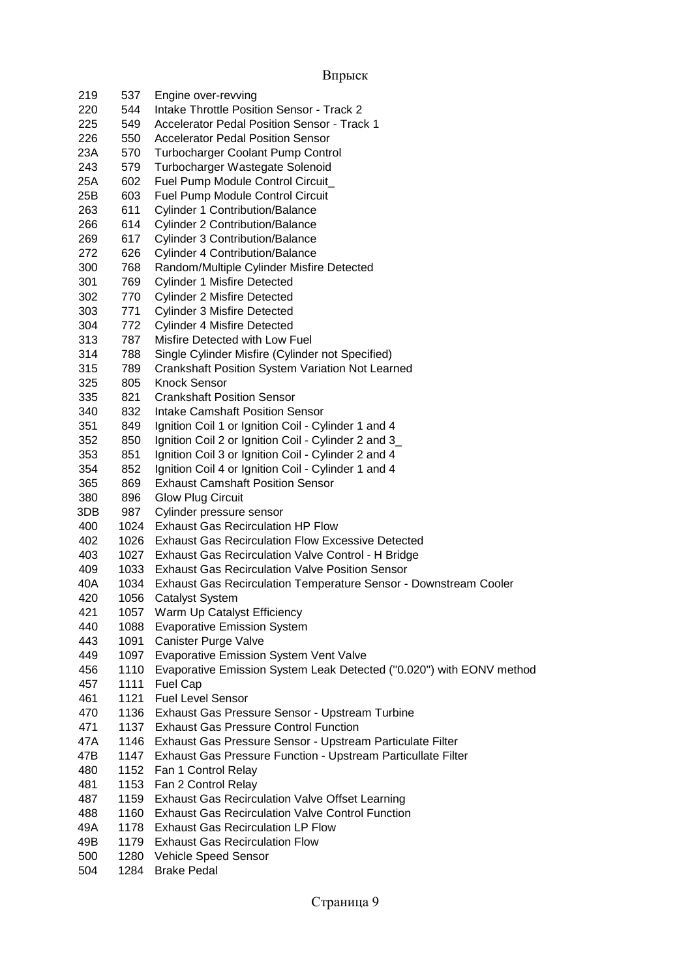| 219 | 537  | Engine over-revving                                                  |
|-----|------|----------------------------------------------------------------------|
| 220 | 544  | Intake Throttle Position Sensor - Track 2                            |
| 225 | 549  | <b>Accelerator Pedal Position Sensor - Track 1</b>                   |
| 226 | 550  | <b>Accelerator Pedal Position Sensor</b>                             |
| 23A | 570  | <b>Turbocharger Coolant Pump Control</b>                             |
| 243 | 579  | Turbocharger Wastegate Solenoid                                      |
| 25A | 602  | Fuel Pump Module Control Circuit                                     |
| 25B | 603  | <b>Fuel Pump Module Control Circuit</b>                              |
| 263 | 611  | <b>Cylinder 1 Contribution/Balance</b>                               |
| 266 | 614  | <b>Cylinder 2 Contribution/Balance</b>                               |
| 269 | 617  | <b>Cylinder 3 Contribution/Balance</b>                               |
| 272 | 626  | <b>Cylinder 4 Contribution/Balance</b>                               |
| 300 | 768  | Random/Multiple Cylinder Misfire Detected                            |
| 301 | 769  | <b>Cylinder 1 Misfire Detected</b>                                   |
| 302 | 770  | <b>Cylinder 2 Misfire Detected</b>                                   |
| 303 | 771  | <b>Cylinder 3 Misfire Detected</b>                                   |
| 304 | 772  | <b>Cylinder 4 Misfire Detected</b>                                   |
| 313 | 787  | Misfire Detected with Low Fuel                                       |
| 314 | 788  | Single Cylinder Misfire (Cylinder not Specified)                     |
| 315 | 789  | <b>Crankshaft Position System Variation Not Learned</b>              |
| 325 | 805  | <b>Knock Sensor</b>                                                  |
| 335 | 821  | <b>Crankshaft Position Sensor</b>                                    |
| 340 | 832  | <b>Intake Camshaft Position Sensor</b>                               |
| 351 | 849  | Ignition Coil 1 or Ignition Coil - Cylinder 1 and 4                  |
| 352 | 850  | Ignition Coil 2 or Ignition Coil - Cylinder 2 and 3_                 |
| 353 | 851  | Ignition Coil 3 or Ignition Coil - Cylinder 2 and 4                  |
| 354 | 852  | Ignition Coil 4 or Ignition Coil - Cylinder 1 and 4                  |
| 365 | 869  | <b>Exhaust Camshaft Position Sensor</b>                              |
| 380 | 896  | <b>Glow Plug Circuit</b>                                             |
| 3DB | 987  | Cylinder pressure sensor                                             |
| 400 | 1024 | <b>Exhaust Gas Recirculation HP Flow</b>                             |
| 402 | 1026 | <b>Exhaust Gas Recirculation Flow Excessive Detected</b>             |
| 403 | 1027 | Exhaust Gas Recirculation Valve Control - H Bridge                   |
| 409 |      | 1033 Exhaust Gas Recirculation Valve Position Sensor                 |
| 40A | 1034 | Exhaust Gas Recirculation Temperature Sensor - Downstream Cooler     |
| 420 | 1056 | <b>Catalyst System</b>                                               |
| 421 |      | 1057 Warm Up Catalyst Efficiency                                     |
| 440 | 1088 | <b>Evaporative Emission System</b>                                   |
| 443 | 1091 | Canister Purge Valve                                                 |
| 449 | 1097 | <b>Evaporative Emission System Vent Valve</b>                        |
| 456 | 1110 | Evaporative Emission System Leak Detected ("0.020") with EONV method |
| 457 | 1111 | Fuel Cap                                                             |
| 461 | 1121 | <b>Fuel Level Sensor</b>                                             |
| 470 | 1136 | Exhaust Gas Pressure Sensor - Upstream Turbine                       |
| 471 | 1137 | <b>Exhaust Gas Pressure Control Function</b>                         |
| 47A | 1146 | Exhaust Gas Pressure Sensor - Upstream Particulate Filter            |
| 47B | 1147 | Exhaust Gas Pressure Function - Upstream Particullate Filter         |
| 480 | 1152 | Fan 1 Control Relay                                                  |
| 481 | 1153 | Fan 2 Control Relay                                                  |
| 487 | 1159 | <b>Exhaust Gas Recirculation Valve Offset Learning</b>               |
| 488 | 1160 | <b>Exhaust Gas Recirculation Valve Control Function</b>              |
| 49A | 1178 | <b>Exhaust Gas Recirculation LP Flow</b>                             |
| 49B | 1179 | <b>Exhaust Gas Recirculation Flow</b>                                |
| 500 | 1280 | Vehicle Speed Sensor                                                 |
| 504 | 1284 | <b>Brake Pedal</b>                                                   |
|     |      |                                                                      |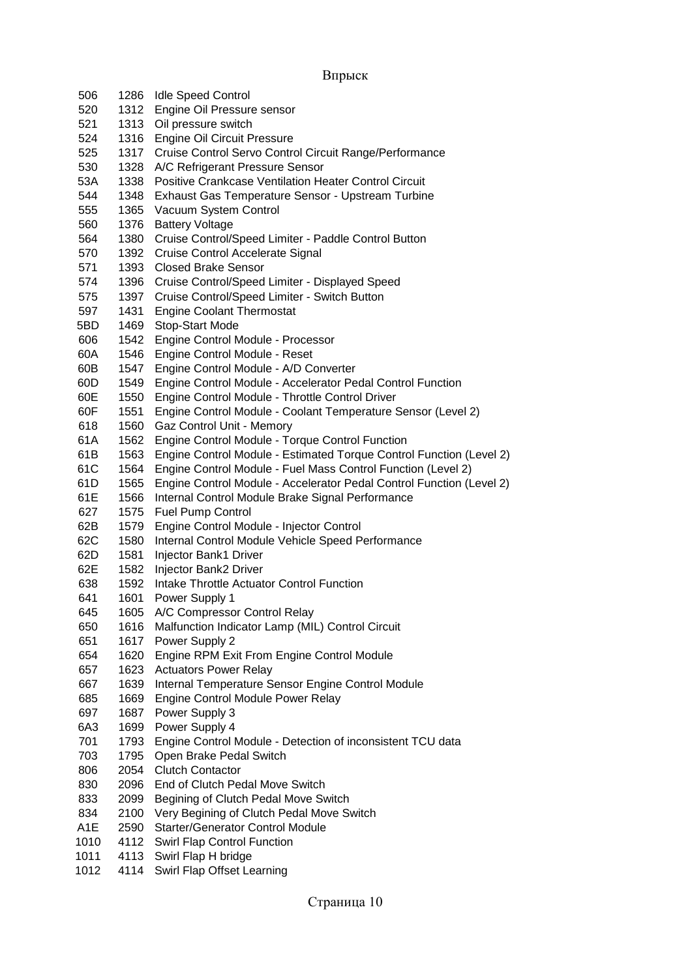| 506              |      | 1286 Idle Speed Control                                              |
|------------------|------|----------------------------------------------------------------------|
| 520              |      | 1312 Engine Oil Pressure sensor                                      |
| 521              | 1313 | Oil pressure switch                                                  |
| 524              |      | 1316 Engine Oil Circuit Pressure                                     |
| 525              | 1317 | Cruise Control Servo Control Circuit Range/Performance               |
| 530              | 1328 | A/C Refrigerant Pressure Sensor                                      |
| 53A              | 1338 | <b>Positive Crankcase Ventilation Heater Control Circuit</b>         |
| 544              | 1348 | Exhaust Gas Temperature Sensor - Upstream Turbine                    |
| 555              | 1365 | Vacuum System Control                                                |
| 560              | 1376 | <b>Battery Voltage</b>                                               |
| 564              | 1380 | Cruise Control/Speed Limiter - Paddle Control Button                 |
| 570              | 1392 | Cruise Control Accelerate Signal                                     |
| 571              | 1393 | <b>Closed Brake Sensor</b>                                           |
| 574              | 1396 | Cruise Control/Speed Limiter - Displayed Speed                       |
| 575              | 1397 | Cruise Control/Speed Limiter - Switch Button                         |
| 597              | 1431 | <b>Engine Coolant Thermostat</b>                                     |
| 5BD              | 1469 | Stop-Start Mode                                                      |
| 606              | 1542 | Engine Control Module - Processor                                    |
| 60A              | 1546 | Engine Control Module - Reset                                        |
| 60B              | 1547 | Engine Control Module - A/D Converter                                |
| 60D              | 1549 | Engine Control Module - Accelerator Pedal Control Function           |
| 60E              | 1550 | Engine Control Module - Throttle Control Driver                      |
| 60F              | 1551 | Engine Control Module - Coolant Temperature Sensor (Level 2)         |
| 618              | 1560 | Gaz Control Unit - Memory                                            |
| 61A              | 1562 | Engine Control Module - Torque Control Function                      |
| 61B              | 1563 | Engine Control Module - Estimated Torque Control Function (Level 2)  |
| 61C              | 1564 | Engine Control Module - Fuel Mass Control Function (Level 2)         |
| 61D              | 1565 | Engine Control Module - Accelerator Pedal Control Function (Level 2) |
| 61E              | 1566 | Internal Control Module Brake Signal Performance                     |
| 627              | 1575 | <b>Fuel Pump Control</b>                                             |
| 62B              | 1579 | Engine Control Module - Injector Control                             |
| 62C              | 1580 | Internal Control Module Vehicle Speed Performance                    |
| 62D              | 1581 | Injector Bank1 Driver                                                |
| 62E              | 1582 | Injector Bank2 Driver                                                |
| 638              | 1592 | Intake Throttle Actuator Control Function                            |
| 641              | 1601 | Power Supply 1                                                       |
| 645              | 1605 | A/C Compressor Control Relay                                         |
| 650              | 1616 | Malfunction Indicator Lamp (MIL) Control Circuit                     |
| 651              | 1617 | Power Supply 2                                                       |
| 654              | 1620 | Engine RPM Exit From Engine Control Module                           |
| 657              | 1623 | <b>Actuators Power Relay</b>                                         |
| 667              | 1639 | Internal Temperature Sensor Engine Control Module                    |
| 685              | 1669 | Engine Control Module Power Relay                                    |
| 697              | 1687 | Power Supply 3                                                       |
| 6A3              | 1699 | Power Supply 4                                                       |
| 701              | 1793 | Engine Control Module - Detection of inconsistent TCU data           |
| 703              | 1795 | Open Brake Pedal Switch                                              |
| 806              | 2054 | <b>Clutch Contactor</b>                                              |
| 830              | 2096 | End of Clutch Pedal Move Switch                                      |
| 833              | 2099 | Begining of Clutch Pedal Move Switch                                 |
| 834              | 2100 | Very Begining of Clutch Pedal Move Switch                            |
| A <sub>1</sub> E | 2590 | <b>Starter/Generator Control Module</b>                              |
| 1010             | 4112 | Swirl Flap Control Function                                          |
| 1011             | 4113 | Swirl Flap H bridge                                                  |
| 1012             | 4114 | Swirl Flap Offset Learning                                           |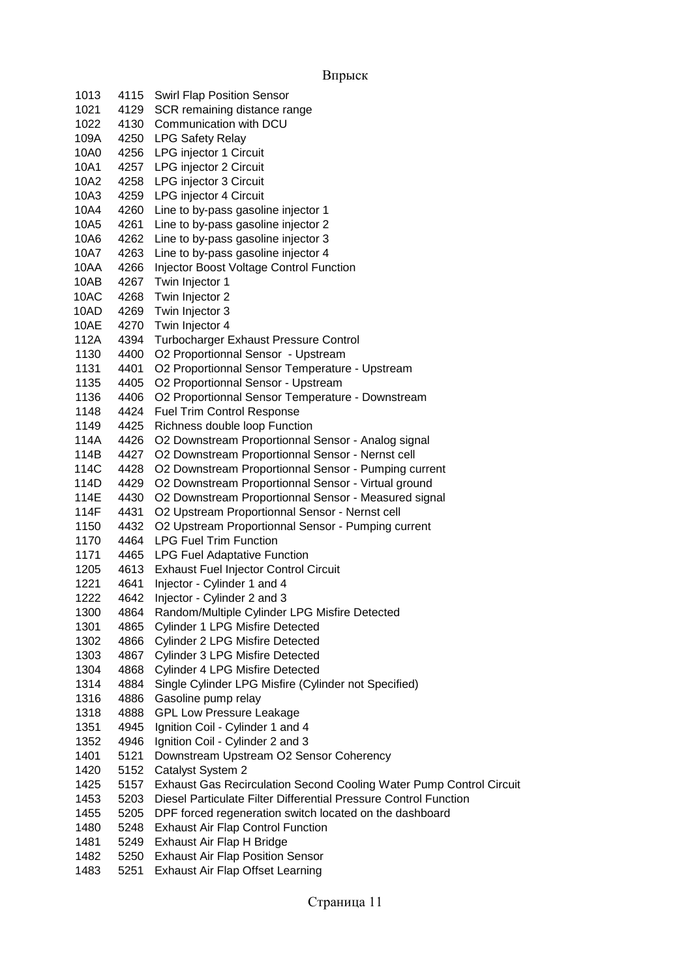```
Впрыск
```

| 1013 | 4115 | <b>Swirl Flap Position Sensor</b>                                   |
|------|------|---------------------------------------------------------------------|
| 1021 | 4129 | SCR remaining distance range                                        |
| 1022 | 4130 | Communication with DCU                                              |
| 109A | 4250 | <b>LPG Safety Relay</b>                                             |
| 10A0 | 4256 | LPG injector 1 Circuit                                              |
| 10A1 | 4257 | LPG injector 2 Circuit                                              |
| 10A2 | 4258 | LPG injector 3 Circuit                                              |
| 10A3 | 4259 | LPG injector 4 Circuit                                              |
| 10A4 | 4260 | Line to by-pass gasoline injector 1                                 |
| 10A5 | 4261 | Line to by-pass gasoline injector 2                                 |
| 10A6 | 4262 | Line to by-pass gasoline injector 3                                 |
| 10A7 | 4263 | Line to by-pass gasoline injector 4                                 |
| 10AA | 4266 | Injector Boost Voltage Control Function                             |
| 10AB | 4267 | Twin Injector 1                                                     |
| 10AC | 4268 | Twin Injector 2                                                     |
| 10AD | 4269 | Twin Injector 3                                                     |
| 10AE | 4270 | Twin Injector 4                                                     |
| 112A | 4394 | <b>Turbocharger Exhaust Pressure Control</b>                        |
| 1130 | 4400 | O2 Proportionnal Sensor - Upstream                                  |
| 1131 | 4401 | O2 Proportionnal Sensor Temperature - Upstream                      |
| 1135 | 4405 | O2 Proportionnal Sensor - Upstream                                  |
| 1136 | 4406 | O2 Proportionnal Sensor Temperature - Downstream                    |
| 1148 | 4424 | <b>Fuel Trim Control Response</b>                                   |
| 1149 | 4425 | Richness double loop Function                                       |
| 114A | 4426 | O2 Downstream Proportionnal Sensor - Analog signal                  |
| 114B | 4427 | O2 Downstream Proportionnal Sensor - Nernst cell                    |
| 114C | 4428 | O2 Downstream Proportionnal Sensor - Pumping current                |
| 114D | 4429 | O2 Downstream Proportionnal Sensor - Virtual ground                 |
| 114E | 4430 | O2 Downstream Proportionnal Sensor - Measured signal                |
| 114F | 4431 | O2 Upstream Proportionnal Sensor - Nernst cell                      |
| 1150 | 4432 | O2 Upstream Proportionnal Sensor - Pumping current                  |
| 1170 | 4464 | <b>LPG Fuel Trim Function</b>                                       |
| 1171 | 4465 | <b>LPG Fuel Adaptative Function</b>                                 |
| 1205 | 4613 | <b>Exhaust Fuel Injector Control Circuit</b>                        |
| 1221 | 4641 | Injector - Cylinder 1 and 4                                         |
| 1222 | 4642 | Injector - Cylinder 2 and 3                                         |
| 1300 | 4864 | Random/Multiple Cylinder LPG Misfire Detected                       |
| 1301 | 4865 | <b>Cylinder 1 LPG Misfire Detected</b>                              |
| 1302 | 4866 | <b>Cylinder 2 LPG Misfire Detected</b>                              |
| 1303 | 4867 | <b>Cylinder 3 LPG Misfire Detected</b>                              |
| 1304 | 4868 | <b>Cylinder 4 LPG Misfire Detected</b>                              |
| 1314 | 4884 | Single Cylinder LPG Misfire (Cylinder not Specified)                |
| 1316 | 4886 | Gasoline pump relay                                                 |
| 1318 | 4888 | <b>GPL Low Pressure Leakage</b>                                     |
| 1351 | 4945 | Ignition Coil - Cylinder 1 and 4                                    |
| 1352 | 4946 | Ignition Coil - Cylinder 2 and 3                                    |
| 1401 | 5121 | Downstream Upstream O2 Sensor Coherency                             |
| 1420 | 5152 | Catalyst System 2                                                   |
| 1425 | 5157 | Exhaust Gas Recirculation Second Cooling Water Pump Control Circuit |
| 1453 | 5203 | Diesel Particulate Filter Differential Pressure Control Function    |
| 1455 | 5205 | DPF forced regeneration switch located on the dashboard             |
| 1480 | 5248 | <b>Exhaust Air Flap Control Function</b>                            |
| 1481 | 5249 | Exhaust Air Flap H Bridge                                           |
| 1482 | 5250 | <b>Exhaust Air Flap Position Sensor</b>                             |
| 1483 | 5251 | Exhaust Air Flap Offset Learning                                    |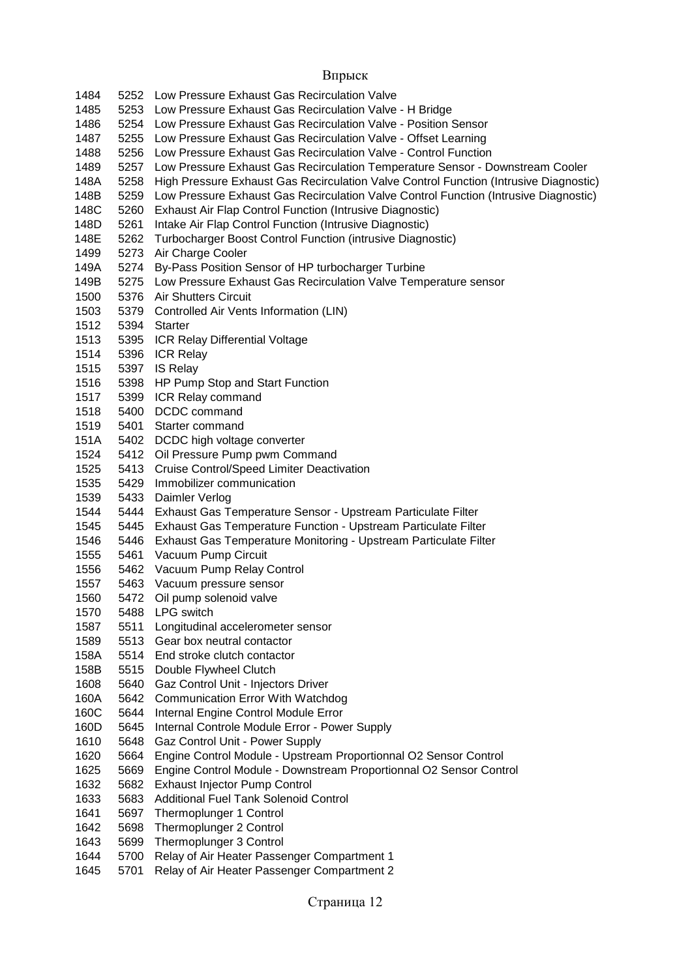5252 Low Pressure Exhaust Gas Recirculation Valve 5253 Low Pressure Exhaust Gas Recirculation Valve - H Bridge 5254 Low Pressure Exhaust Gas Recirculation Valve - Position Sensor 5255 Low Pressure Exhaust Gas Recirculation Valve - Offset Learning 5256 Low Pressure Exhaust Gas Recirculation Valve - Control Function 5257 Low Pressure Exhaust Gas Recirculation Temperature Sensor - Downstream Cooler 148A 5258 High Pressure Exhaust Gas Recirculation Valve Control Function (Intrusive Diagnostic) 148B 5259 Low Pressure Exhaust Gas Recirculation Valve Control Function (Intrusive Diagnostic)<br>148C 5260 Exhaust Air Flap Control Function (Intrusive Diagnostic) 5260 Exhaust Air Flap Control Function (Intrusive Diagnostic) 148D 5261 Intake Air Flap Control Function (Intrusive Diagnostic) 148E 5262 Turbocharger Boost Control Function (intrusive Diagnostic) 5273 Air Charge Cooler 149A 5274 By-Pass Position Sensor of HP turbocharger Turbine 149B 5275 Low Pressure Exhaust Gas Recirculation Valve Temperature sensor 5376 Air Shutters Circuit 5379 Controlled Air Vents Information (LIN) 5394 Starter 5395 ICR Relay Differential Voltage 5396 ICR Relay 5397 IS Relay 5398 HP Pump Stop and Start Function 5399 ICR Relay command 5400 DCDC command 5401 Starter command 151A 5402 DCDC high voltage converter 5412 Oil Pressure Pump pwm Command 5413 Cruise Control/Speed Limiter Deactivation 5429 Immobilizer communication 5433 Daimler Verlog 5444 Exhaust Gas Temperature Sensor - Upstream Particulate Filter 5445 Exhaust Gas Temperature Function - Upstream Particulate Filter 5446 Exhaust Gas Temperature Monitoring - Upstream Particulate Filter 5461 Vacuum Pump Circuit 5462 Vacuum Pump Relay Control 5463 Vacuum pressure sensor 5472 Oil pump solenoid valve 5488 LPG switch 5511 Longitudinal accelerometer sensor 5513 Gear box neutral contactor 158A 5514 End stroke clutch contactor 158B 5515 Double Flywheel Clutch 5640 Gaz Control Unit - Injectors Driver 160A 5642 Communication Error With Watchdog 160C 5644 Internal Engine Control Module Error 160D 5645 Internal Controle Module Error - Power Supply 5648 Gaz Control Unit - Power Supply 5664 Engine Control Module - Upstream Proportionnal O2 Sensor Control 5669 Engine Control Module - Downstream Proportionnal O2 Sensor Control 5682 Exhaust Injector Pump Control 5683 Additional Fuel Tank Solenoid Control 5697 Thermoplunger 1 Control 5698 Thermoplunger 2 Control 5699 Thermoplunger 3 Control 5700 Relay of Air Heater Passenger Compartment 1 5701 Relay of Air Heater Passenger Compartment 2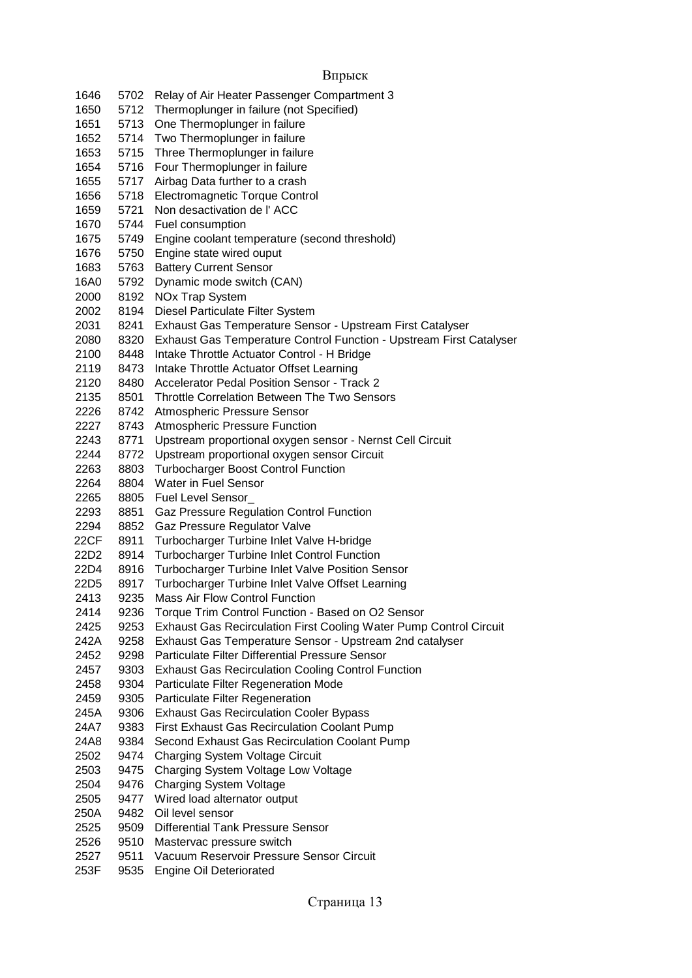5702 Relay of Air Heater Passenger Compartment 3 5712 Thermoplunger in failure (not Specified) 5713 One Thermoplunger in failure 5714 Two Thermoplunger in failure 5715 Three Thermoplunger in failure 5716 Four Thermoplunger in failure 5717 Airbag Data further to a crash 5718 Electromagnetic Torque Control 5721 Non desactivation de l' ACC 5744 Fuel consumption 5749 Engine coolant temperature (second threshold) 5750 Engine state wired ouput 5763 Battery Current Sensor 16A0 5792 Dynamic mode switch (CAN) 8192 NOx Trap System 8194 Diesel Particulate Filter System 8241 Exhaust Gas Temperature Sensor - Upstream First Catalyser 8320 Exhaust Gas Temperature Control Function - Upstream First Catalyser 8448 Intake Throttle Actuator Control - H Bridge 8473 Intake Throttle Actuator Offset Learning 8480 Accelerator Pedal Position Sensor - Track 2 8501 Throttle Correlation Between The Two Sensors 8742 Atmospheric Pressure Sensor 8743 Atmospheric Pressure Function 8771 Upstream proportional oxygen sensor - Nernst Cell Circuit 8772 Upstream proportional oxygen sensor Circuit 8803 Turbocharger Boost Control Function 8804 Water in Fuel Sensor 8805 Fuel Level Sensor\_ 8851 Gaz Pressure Regulation Control Function 2294 8852 Gaz Pressure Regulator Valve<br>22CF 8911 Turbocharger Turbine Inlet Val 8911 Turbocharger Turbine Inlet Valve H-bridge 22D2 8914 Turbocharger Turbine Inlet Control Function 22D4 8916 Turbocharger Turbine Inlet Valve Position Sensor 22D5 8917 Turbocharger Turbine Inlet Valve Offset Learning 9235 Mass Air Flow Control Function 9236 Torque Trim Control Function - Based on O2 Sensor 9253 Exhaust Gas Recirculation First Cooling Water Pump Control Circuit 242A 9258 Exhaust Gas Temperature Sensor - Upstream 2nd catalyser 9298 Particulate Filter Differential Pressure Sensor 9303 Exhaust Gas Recirculation Cooling Control Function 9304 Particulate Filter Regeneration Mode 9305 Particulate Filter Regeneration 245A 9306 Exhaust Gas Recirculation Cooler Bypass 24A7 9383 First Exhaust Gas Recirculation Coolant Pump 24A8 9384 Second Exhaust Gas Recirculation Coolant Pump 9474 Charging System Voltage Circuit 9475 Charging System Voltage Low Voltage 9476 Charging System Voltage 9477 Wired load alternator output 250A 9482 Oil level sensor 9509 Differential Tank Pressure Sensor 9510 Mastervac pressure switch 9511 Vacuum Reservoir Pressure Sensor Circuit

253F 9535 Engine Oil Deteriorated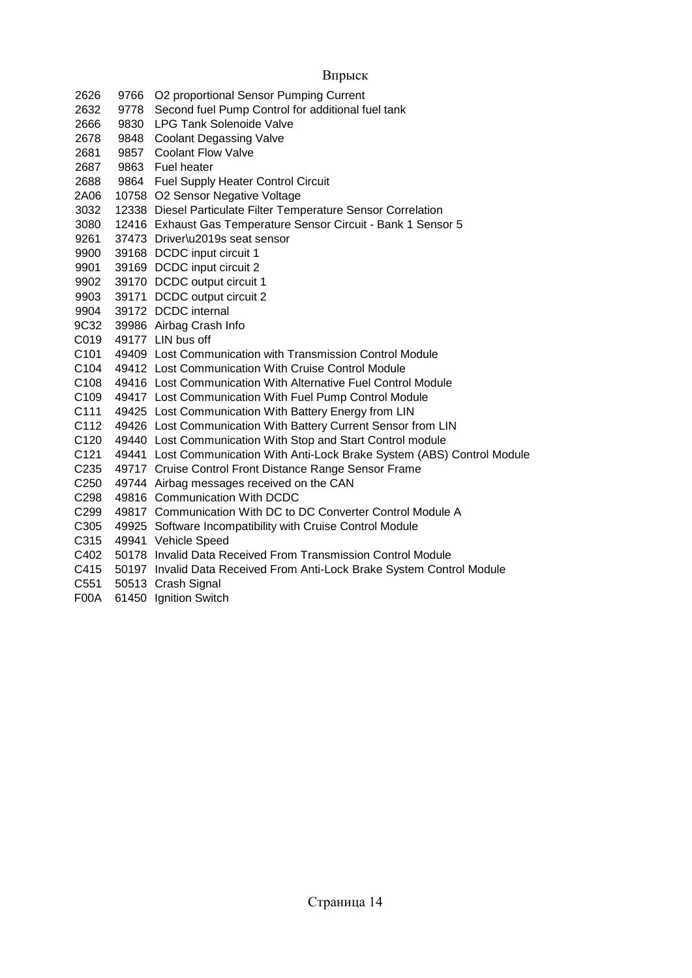Впрыск 2626 9766 O2 proportional Sensor Pumping Current 2632 9778 Second fuel Pump Control for additional fuel tank 2666 9830 LPG Tank Solenoide Valve 2678 9848 Coolant Degassing Valve 2681 9857 Coolant Flow Valve 2687 9863 Fuel heater 2688 9864 Fuel Supply Heater Control Circuit 2A06 10758 O2 Sensor Negative Voltage 3032 12338 Diesel Particulate Filter Temperature Sensor Correlation 3080 12416 Exhaust Gas Temperature Sensor Circuit - Bank 1 Sensor 5 9261 37473 Driver\u2019s seat sensor 9900 39168 DCDC input circuit 1 9901 39169 DCDC input circuit 2 9902 39170 DCDC output circuit 1 9903 39171 DCDC output circuit 2 9904 39172 DCDC internal 9C32 39986 Airbag Crash Info C019 49177 LIN bus off C101 49409 Lost Communication with Transmission Control Module C104 49412 Lost Communication With Cruise Control Module C108 49416 Lost Communication With Alternative Fuel Control Module C109 49417 Lost Communication With Fuel Pump Control Module C111 49425 Lost Communication With Battery Energy from LIN C112 49426 Lost Communication With Battery Current Sensor from LIN C120 49440 Lost Communication With Stop and Start Control module C121 49441 Lost Communication With Anti-Lock Brake System (ABS) Control Module C235 49717 Cruise Control Front Distance Range Sensor Frame C250 49744 Airbag messages received on the CAN C298 49816 Communication With DCDC C299 49817 Communication With DC to DC Converter Control Module A C305 49925 Software Incompatibility with Cruise Control Module C315 49941 Vehicle Speed C402 50178 Invalid Data Received From Transmission Control Module C415 50197 Invalid Data Received From Anti-Lock Brake System Control Module

- C551 50513 Crash Signal
- F00A 61450 Ignition Switch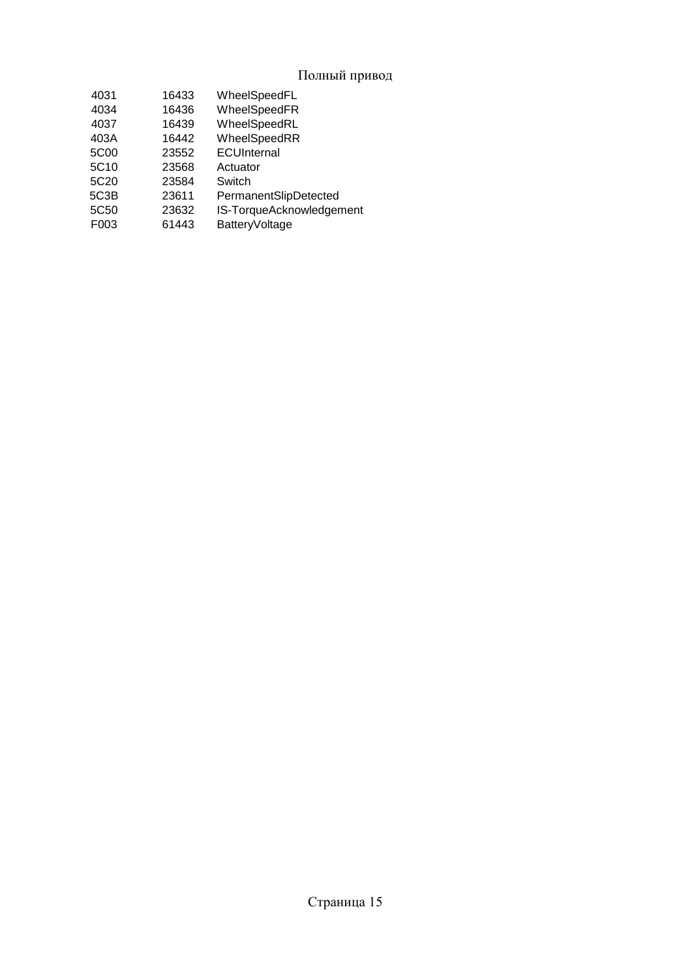### Полный привод

| 4031             | 16433 | WheelSpeedFL             |
|------------------|-------|--------------------------|
| 4034             | 16436 | WheelSpeedFR             |
| 4037             | 16439 | WheelSpeedRL             |
| 403A             | 16442 | WheelSpeedRR             |
| 5C <sub>00</sub> | 23552 | ECUInternal              |
| 5C <sub>10</sub> | 23568 | Actuator                 |
| 5C <sub>20</sub> | 23584 | Switch                   |
| 5C3B             | 23611 | PermanentSlipDetected    |
| 5C50             | 23632 | IS-TorqueAcknowledgement |
| F003             | 61443 | <b>BatteryVoltage</b>    |
|                  |       |                          |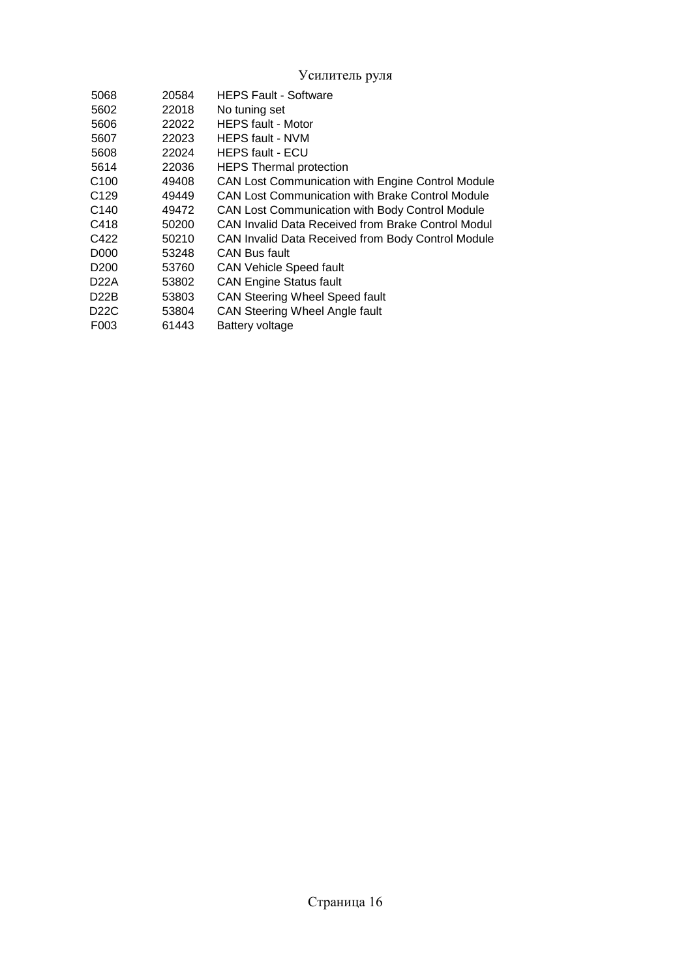Усилитель руля

| 5068              | 20584 | <b>HEPS Fault - Software</b>                       |
|-------------------|-------|----------------------------------------------------|
| 5602              | 22018 | No tuning set                                      |
| 5606              | 22022 | <b>HEPS fault - Motor</b>                          |
| 5607              | 22023 | <b>HEPS fault - NVM</b>                            |
| 5608              | 22024 | <b>HEPS fault - ECU</b>                            |
| 5614              | 22036 | <b>HEPS Thermal protection</b>                     |
| C <sub>100</sub>  | 49408 | CAN Lost Communication with Engine Control Module  |
| C <sub>129</sub>  | 49449 | CAN Lost Communication with Brake Control Module   |
| C <sub>140</sub>  | 49472 | CAN Lost Communication with Body Control Module    |
| C418              | 50200 | CAN Invalid Data Received from Brake Control Modul |
| C422              | 50210 | CAN Invalid Data Received from Body Control Module |
| D <sub>0</sub> 00 | 53248 | <b>CAN Bus fault</b>                               |
| D <sub>200</sub>  | 53760 | <b>CAN Vehicle Speed fault</b>                     |
| D22A              | 53802 | <b>CAN Engine Status fault</b>                     |
| D22B              | 53803 | <b>CAN Steering Wheel Speed fault</b>              |
| D22C              | 53804 | <b>CAN Steering Wheel Angle fault</b>              |
| F003              | 61443 | Battery voltage                                    |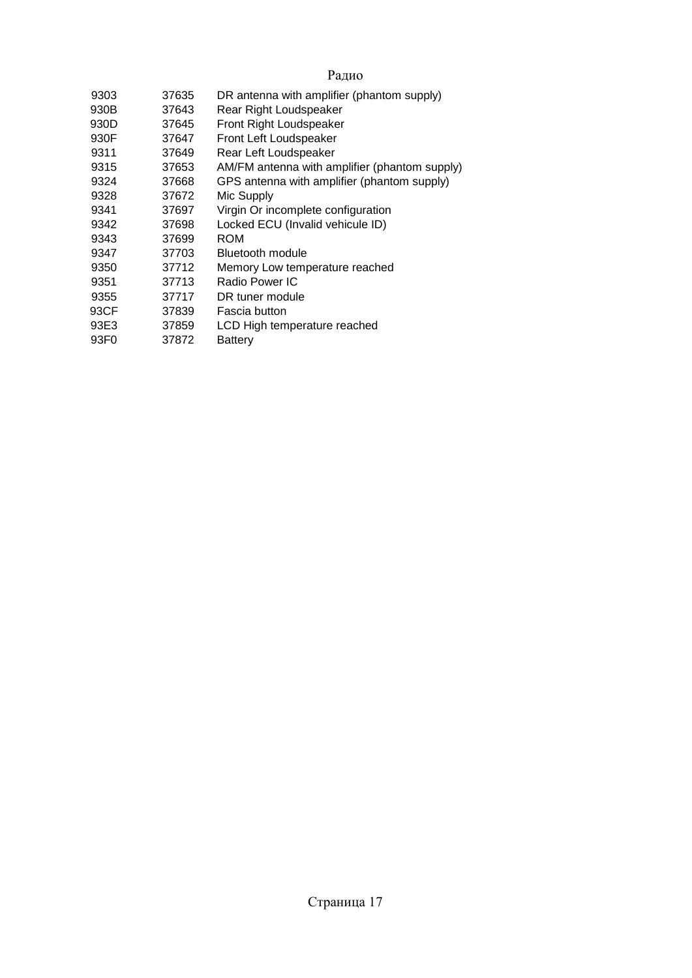# Радио

| 9303 | 37635 | DR antenna with amplifier (phantom supply)    |
|------|-------|-----------------------------------------------|
| 930B | 37643 | Rear Right Loudspeaker                        |
| 930D | 37645 | <b>Front Right Loudspeaker</b>                |
| 930F | 37647 | Front Left Loudspeaker                        |
| 9311 | 37649 | Rear Left Loudspeaker                         |
| 9315 | 37653 | AM/FM antenna with amplifier (phantom supply) |
| 9324 | 37668 | GPS antenna with amplifier (phantom supply)   |
| 9328 | 37672 | Mic Supply                                    |
| 9341 | 37697 | Virgin Or incomplete configuration            |
| 9342 | 37698 | Locked ECU (Invalid vehicule ID)              |
| 9343 | 37699 | <b>ROM</b>                                    |
| 9347 | 37703 | Bluetooth module                              |
| 9350 | 37712 | Memory Low temperature reached                |
| 9351 | 37713 | Radio Power IC                                |
| 9355 | 37717 | DR tuner module                               |
| 93CF | 37839 | Fascia button                                 |
| 93E3 | 37859 | LCD High temperature reached                  |
| 93F0 | 37872 | Battery                                       |
|      |       |                                               |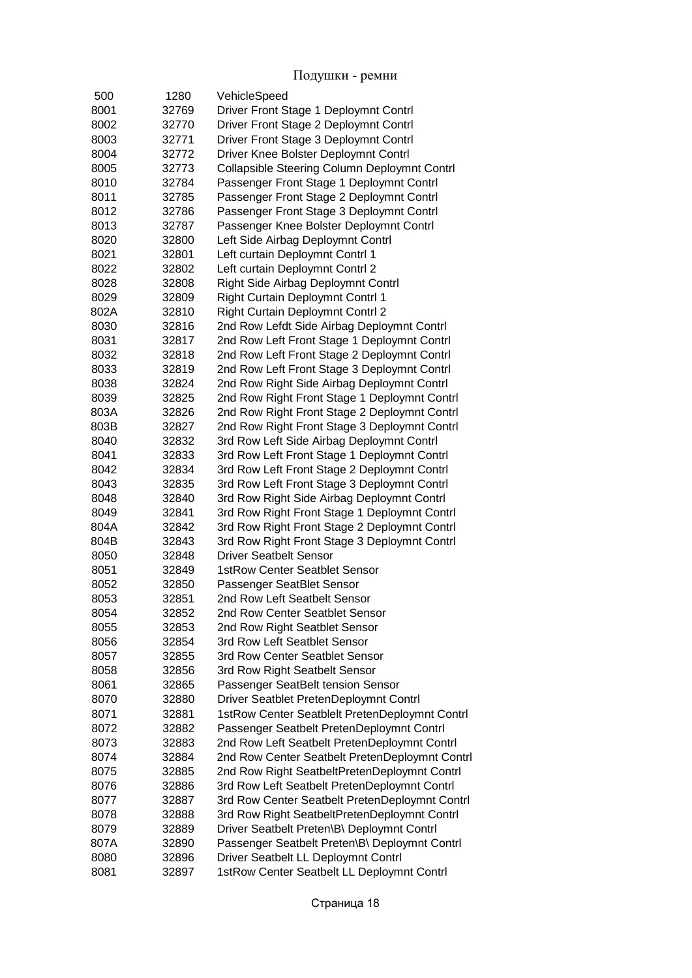| 500  | 1280  | VehicleSpeed                                                                  |
|------|-------|-------------------------------------------------------------------------------|
| 8001 | 32769 | Driver Front Stage 1 Deploymnt Contrl                                         |
| 8002 | 32770 | Driver Front Stage 2 Deploymnt Contrl                                         |
| 8003 | 32771 | Driver Front Stage 3 Deploymnt Contrl                                         |
| 8004 | 32772 | Driver Knee Bolster Deploymnt Contrl                                          |
| 8005 | 32773 | <b>Collapsible Steering Column Deploymnt Contrl</b>                           |
| 8010 | 32784 | Passenger Front Stage 1 Deploymnt Contrl                                      |
| 8011 | 32785 | Passenger Front Stage 2 Deploymnt Contrl                                      |
| 8012 | 32786 | Passenger Front Stage 3 Deploymnt Contrl                                      |
| 8013 | 32787 | Passenger Knee Bolster Deploymnt Contrl                                       |
| 8020 | 32800 | Left Side Airbag Deploymnt Contrl                                             |
| 8021 | 32801 | Left curtain Deploymnt Contrl 1                                               |
| 8022 | 32802 | Left curtain Deploymnt Contrl 2                                               |
| 8028 | 32808 | Right Side Airbag Deploymnt Contrl                                            |
| 8029 | 32809 | <b>Right Curtain Deploymnt Contrl 1</b>                                       |
| 802A | 32810 | <b>Right Curtain Deploymnt Contrl 2</b>                                       |
| 8030 | 32816 | 2nd Row Lefdt Side Airbag Deploymnt Contrl                                    |
| 8031 | 32817 | 2nd Row Left Front Stage 1 Deploymnt Contrl                                   |
| 8032 | 32818 | 2nd Row Left Front Stage 2 Deploymnt Contrl                                   |
| 8033 | 32819 | 2nd Row Left Front Stage 3 Deploymnt Contrl                                   |
| 8038 | 32824 | 2nd Row Right Side Airbag Deploymnt Contrl                                    |
| 8039 | 32825 | 2nd Row Right Front Stage 1 Deploymnt Contrl                                  |
| 803A | 32826 | 2nd Row Right Front Stage 2 Deploymnt Contrl                                  |
| 803B | 32827 | 2nd Row Right Front Stage 3 Deploymnt Contrl                                  |
| 8040 | 32832 | 3rd Row Left Side Airbag Deploymnt Contrl                                     |
| 8041 | 32833 | 3rd Row Left Front Stage 1 Deploymnt Contrl                                   |
| 8042 | 32834 | 3rd Row Left Front Stage 2 Deploymnt Contrl                                   |
| 8043 | 32835 | 3rd Row Left Front Stage 3 Deploymnt Contrl                                   |
| 8048 | 32840 | 3rd Row Right Side Airbag Deploymnt Contrl                                    |
| 8049 | 32841 | 3rd Row Right Front Stage 1 Deploymnt Contrl                                  |
| 804A |       |                                                                               |
| 804B | 32842 | 3rd Row Right Front Stage 2 Deploymnt Contrl                                  |
|      | 32843 | 3rd Row Right Front Stage 3 Deploymnt Contrl<br><b>Driver Seatbelt Sensor</b> |
| 8050 | 32848 | <b>1stRow Center Seatblet Sensor</b>                                          |
| 8051 | 32849 |                                                                               |
| 8052 | 32850 | Passenger SeatBlet Sensor                                                     |
| 8053 | 32851 | 2nd Row Left Seatbelt Sensor                                                  |
| 8054 | 32852 | 2nd Row Center Seatblet Sensor                                                |
| 8055 | 32853 | 2nd Row Right Seatblet Sensor                                                 |
| 8056 | 32854 | 3rd Row Left Seatblet Sensor                                                  |
| 8057 | 32855 | 3rd Row Center Seatblet Sensor                                                |
| 8058 | 32856 | 3rd Row Right Seatbelt Sensor                                                 |
| 8061 | 32865 | Passenger SeatBelt tension Sensor                                             |
| 8070 | 32880 | Driver Seatblet PretenDeploymnt Contrl                                        |
| 8071 | 32881 | 1stRow Center Seatblelt PretenDeploymnt Contrl                                |
| 8072 | 32882 | Passenger Seatbelt PretenDeploymnt Contrl                                     |
| 8073 | 32883 | 2nd Row Left Seatbelt PretenDeploymnt Contrl                                  |
| 8074 | 32884 | 2nd Row Center Seatbelt PretenDeploymnt Contrl                                |
| 8075 | 32885 | 2nd Row Right SeatbeltPretenDeploymnt Contrl                                  |
| 8076 | 32886 | 3rd Row Left Seatbelt PretenDeploymnt Contrl                                  |
| 8077 | 32887 | 3rd Row Center Seatbelt PretenDeploymnt Contrl                                |
| 8078 | 32888 | 3rd Row Right SeatbeltPretenDeploymnt Contrl                                  |
| 8079 | 32889 | Driver Seatbelt Preten\B\ Deploymnt Contrl                                    |
| 807A | 32890 | Passenger Seatbelt Preten\B\ Deploymnt Contrl                                 |
| 8080 | 32896 | Driver Seatbelt LL Deploymnt Contrl                                           |
| 8081 | 32897 | 1stRow Center Seatbelt LL Deploymnt Contrl                                    |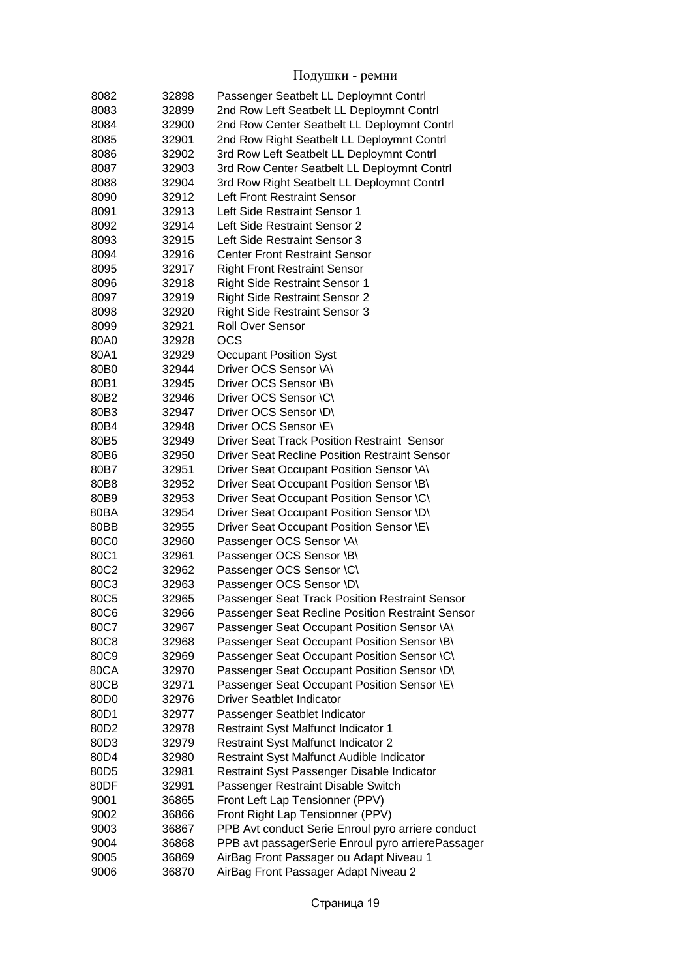| 8082 | 32898 | Passenger Seatbelt LL Deploymnt Contrl               |
|------|-------|------------------------------------------------------|
| 8083 | 32899 | 2nd Row Left Seatbelt LL Deploymnt Contrl            |
| 8084 | 32900 | 2nd Row Center Seatbelt LL Deploymnt Contrl          |
| 8085 | 32901 | 2nd Row Right Seatbelt LL Deploymnt Contrl           |
| 8086 | 32902 | 3rd Row Left Seatbelt LL Deploymnt Contrl            |
| 8087 | 32903 | 3rd Row Center Seatbelt LL Deploymnt Contrl          |
| 8088 | 32904 | 3rd Row Right Seatbelt LL Deploymnt Contrl           |
|      |       |                                                      |
| 8090 | 32912 | Left Front Restraint Sensor                          |
| 8091 | 32913 | Left Side Restraint Sensor 1                         |
| 8092 | 32914 | Left Side Restraint Sensor 2                         |
| 8093 | 32915 | Left Side Restraint Sensor 3                         |
| 8094 | 32916 | <b>Center Front Restraint Sensor</b>                 |
| 8095 | 32917 | <b>Right Front Restraint Sensor</b>                  |
| 8096 | 32918 | <b>Right Side Restraint Sensor 1</b>                 |
| 8097 | 32919 | <b>Right Side Restraint Sensor 2</b>                 |
| 8098 | 32920 | <b>Right Side Restraint Sensor 3</b>                 |
| 8099 | 32921 | <b>Roll Over Sensor</b>                              |
| 80A0 | 32928 | <b>OCS</b>                                           |
| 80A1 | 32929 | <b>Occupant Position Syst</b>                        |
| 80B0 | 32944 | Driver OCS Sensor \A\                                |
| 80B1 | 32945 | Driver OCS Sensor \B\                                |
| 80B2 | 32946 | Driver OCS Sensor \C\                                |
| 80B3 | 32947 | Driver OCS Sensor \D\                                |
| 80B4 | 32948 | Driver OCS Sensor \E\                                |
| 80B5 | 32949 | <b>Driver Seat Track Position Restraint Sensor</b>   |
| 80B6 | 32950 | <b>Driver Seat Recline Position Restraint Sensor</b> |
| 80B7 | 32951 |                                                      |
|      |       | Driver Seat Occupant Position Sensor \A\             |
| 80B8 | 32952 | Driver Seat Occupant Position Sensor \B\             |
| 80B9 | 32953 | Driver Seat Occupant Position Sensor \C\             |
| 80BA | 32954 | Driver Seat Occupant Position Sensor \D\             |
| 80BB | 32955 | Driver Seat Occupant Position Sensor \E\             |
| 80C0 | 32960 | Passenger OCS Sensor \A\                             |
| 80C1 | 32961 | Passenger OCS Sensor \B\                             |
| 80C2 | 32962 | Passenger OCS Sensor \C\                             |
| 80C3 | 32963 | Passenger OCS Sensor \D\                             |
| 80C5 | 32965 | Passenger Seat Track Position Restraint Sensor       |
| 80C6 | 32966 | Passenger Seat Recline Position Restraint Sensor     |
| 80C7 | 32967 | Passenger Seat Occupant Position Sensor \A\          |
| 80C8 | 32968 | Passenger Seat Occupant Position Sensor \B\          |
| 80C9 | 32969 | Passenger Seat Occupant Position Sensor \C\          |
| 80CA | 32970 | Passenger Seat Occupant Position Sensor \D\          |
| 80CB | 32971 | Passenger Seat Occupant Position Sensor \E\          |
| 80D0 | 32976 | <b>Driver Seatblet Indicator</b>                     |
| 80D1 | 32977 | Passenger Seatblet Indicator                         |
| 80D2 | 32978 | <b>Restraint Syst Malfunct Indicator 1</b>           |
| 80D3 | 32979 | <b>Restraint Syst Malfunct Indicator 2</b>           |
| 80D4 | 32980 | Restraint Syst Malfunct Audible Indicator            |
| 80D5 | 32981 | Restraint Syst Passenger Disable Indicator           |
| 80DF | 32991 | Passenger Restraint Disable Switch                   |
| 9001 | 36865 | Front Left Lap Tensionner (PPV)                      |
| 9002 | 36866 | Front Right Lap Tensionner (PPV)                     |
|      |       |                                                      |
| 9003 | 36867 | PPB Avt conduct Serie Enroul pyro arriere conduct    |
| 9004 | 36868 | PPB avt passagerSerie Enroul pyro arrierePassager    |
| 9005 | 36869 | AirBag Front Passager ou Adapt Niveau 1              |
| 9006 | 36870 | AirBag Front Passager Adapt Niveau 2                 |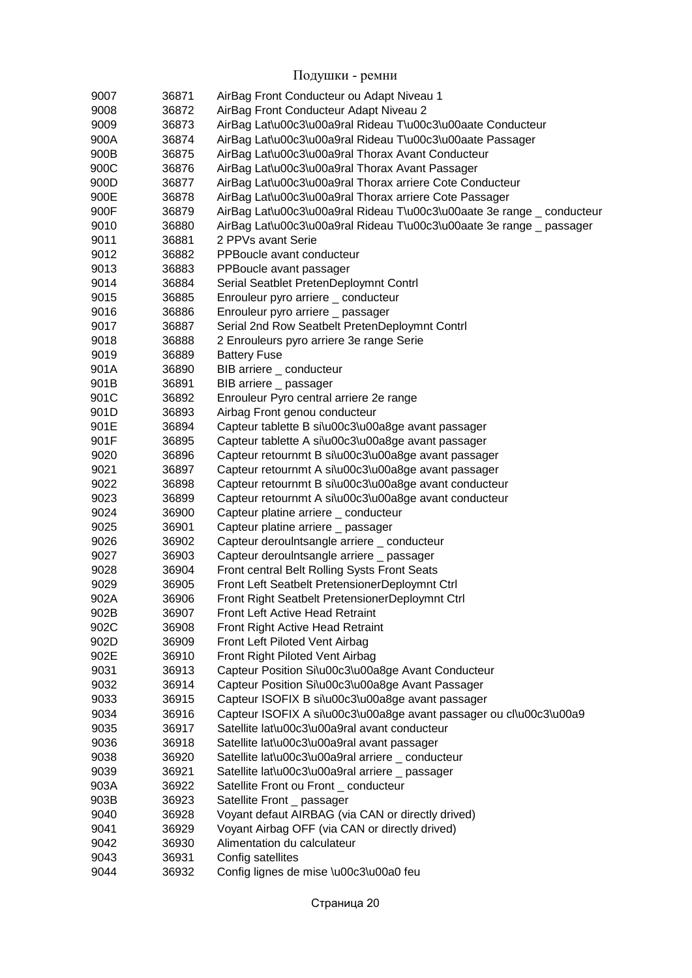| 9007 | 36871 | AirBag Front Conducteur ou Adapt Niveau 1                              |
|------|-------|------------------------------------------------------------------------|
| 9008 | 36872 | AirBag Front Conducteur Adapt Niveau 2                                 |
| 9009 | 36873 | AirBag Lat\u00c3\u00a9ral Rideau T\u00c3\u00aate Conducteur            |
| 900A | 36874 | AirBag Lat\u00c3\u00a9ral Rideau T\u00c3\u00aate Passager              |
| 900B | 36875 | AirBag Lat\u00c3\u00a9ral Thorax Avant Conducteur                      |
| 900C | 36876 | AirBag Lat\u00c3\u00a9ral Thorax Avant Passager                        |
| 900D | 36877 | AirBag Lat\u00c3\u00a9ral Thorax arriere Cote Conducteur               |
| 900E | 36878 | AirBag Lat\u00c3\u00a9ral Thorax arriere Cote Passager                 |
| 900F | 36879 | AirBag Lat\u00c3\u00a9ral Rideau T\u00c3\u00aate 3e range _ conducteur |
| 9010 | 36880 | AirBag Lat\u00c3\u00a9ral Rideau T\u00c3\u00aate 3e range _ passager   |
| 9011 | 36881 | 2 PPVs avant Serie                                                     |
| 9012 | 36882 | PPBoucle avant conducteur                                              |
| 9013 | 36883 | PPBoucle avant passager                                                |
| 9014 | 36884 | Serial Seatblet PretenDeploymnt Contrl                                 |
| 9015 | 36885 | Enrouleur pyro arriere _ conducteur                                    |
| 9016 | 36886 | Enrouleur pyro arriere _ passager                                      |
| 9017 | 36887 | Serial 2nd Row Seatbelt PretenDeploymnt Contrl                         |
| 9018 | 36888 | 2 Enrouleurs pyro arriere 3e range Serie                               |
| 9019 | 36889 | <b>Battery Fuse</b>                                                    |
| 901A | 36890 | BIB arriere _ conducteur                                               |
| 901B | 36891 | BIB arriere _ passager                                                 |
| 901C | 36892 | Enrouleur Pyro central arriere 2e range                                |
| 901D | 36893 | Airbag Front genou conducteur                                          |
| 901E | 36894 | Capteur tablette B silu00c3\u00a8ge avant passager                     |
| 901F | 36895 | Capteur tablette A silu00c3\u00a8ge avant passager                     |
| 9020 | 36896 | Capteur retournmt B si\u00c3\u00a8ge avant passager                    |
| 9021 | 36897 | Capteur retournmt A silu00c3\u00a8ge avant passager                    |
| 9022 | 36898 | Capteur retournmt B silu00c3\u00a8ge avant conducteur                  |
| 9023 | 36899 | Capteur retournmt A silu00c3\u00a8ge avant conducteur                  |
| 9024 | 36900 | Capteur platine arriere _ conducteur                                   |
| 9025 | 36901 | Capteur platine arriere _ passager                                     |
| 9026 | 36902 | Capteur deroulntsangle arriere _ conducteur                            |
| 9027 | 36903 | Capteur deroulntsangle arriere _ passager                              |
| 9028 | 36904 | <b>Front central Belt Rolling Systs Front Seats</b>                    |
| 9029 | 36905 | Front Left Seatbelt PretensionerDeploymnt Ctrl                         |
| 902A | 36906 | Front Right Seatbelt PretensionerDeploymnt Ctrl                        |
| 902B | 36907 | <b>Front Left Active Head Retraint</b>                                 |
| 902C | 36908 | <b>Front Right Active Head Retraint</b>                                |
| 902D | 36909 | Front Left Piloted Vent Airbag                                         |
| 902E | 36910 | Front Right Piloted Vent Airbag                                        |
| 9031 | 36913 | Capteur Position Silu00c3\u00a8ge Avant Conducteur                     |
| 9032 | 36914 | Capteur Position Silu00c3\u00a8ge Avant Passager                       |
| 9033 | 36915 | Capteur ISOFIX B silu00c3\u00a8ge avant passager                       |
| 9034 | 36916 | Capteur ISOFIX A si\u00c3\u00a8ge avant passager ou cl\u00c3\u00a9     |
| 9035 | 36917 | Satellite lat\u00c3\u00a9ral avant conducteur                          |
| 9036 | 36918 | Satellite lat\u00c3\u00a9ral avant passager                            |
| 9038 | 36920 | Satellite lat\u00c3\u00a9ral arriere _ conducteur                      |
| 9039 | 36921 | Satellite lat\u00c3\u00a9ral arriere _ passager                        |
| 903A | 36922 | Satellite Front ou Front _ conducteur                                  |
| 903B | 36923 | Satellite Front _ passager                                             |
| 9040 | 36928 | Voyant defaut AIRBAG (via CAN or directly drived)                      |
| 9041 | 36929 | Voyant Airbag OFF (via CAN or directly drived)                         |
| 9042 | 36930 | Alimentation du calculateur                                            |
| 9043 | 36931 | Config satellites                                                      |
| 9044 | 36932 | Config lignes de mise \u00c3\u00a0 feu                                 |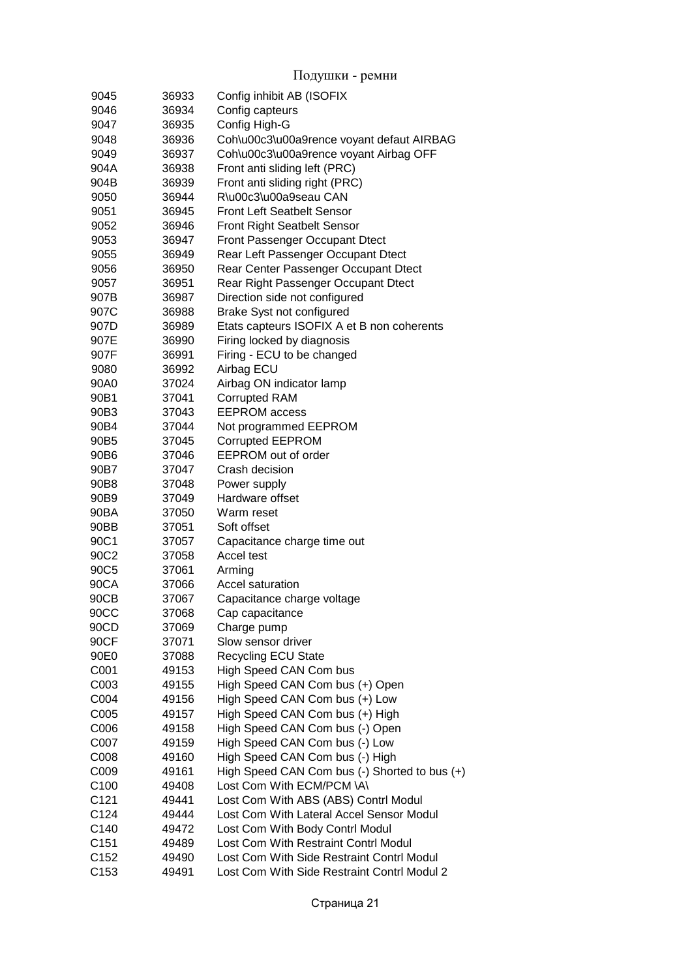| 9045             | 36933 | Config inhibit AB (ISOFIX                         |
|------------------|-------|---------------------------------------------------|
| 9046             | 36934 | Config capteurs                                   |
| 9047             | 36935 | Config High-G                                     |
| 9048             | 36936 | Coh\u00c3\u00a9rence voyant defaut AIRBAG         |
| 9049             | 36937 | Coh\u00c3\u00a9rence voyant Airbag OFF            |
| 904A             | 36938 | Front anti sliding left (PRC)                     |
| 904B             | 36939 | Front anti sliding right (PRC)                    |
| 9050             | 36944 | R\u00c3\u00a9seau CAN                             |
| 9051             | 36945 | <b>Front Left Seatbelt Sensor</b>                 |
| 9052             | 36946 | Front Right Seatbelt Sensor                       |
| 9053             | 36947 | <b>Front Passenger Occupant Dtect</b>             |
| 9055             | 36949 | Rear Left Passenger Occupant Dtect                |
| 9056             | 36950 | Rear Center Passenger Occupant Dtect              |
| 9057             | 36951 | Rear Right Passenger Occupant Dtect               |
| 907B             | 36987 | Direction side not configured                     |
| 907C             | 36988 | Brake Syst not configured                         |
| 907D             | 36989 | Etats capteurs ISOFIX A et B non coherents        |
| 907E             | 36990 | Firing locked by diagnosis                        |
| 907F             | 36991 | Firing - ECU to be changed                        |
| 9080             | 36992 | Airbag ECU                                        |
| 90A0             | 37024 | Airbag ON indicator lamp                          |
| 90B1             | 37041 | <b>Corrupted RAM</b>                              |
| 90B3             | 37043 | <b>EEPROM</b> access                              |
| 90B4             | 37044 | Not programmed EEPROM                             |
| 90B5             | 37045 | <b>Corrupted EEPROM</b>                           |
| 90B6             | 37046 | <b>EEPROM</b> out of order                        |
| 90B7             | 37047 | Crash decision                                    |
| 90B8             | 37048 | Power supply                                      |
| 90B9             | 37049 | Hardware offset                                   |
| 90BA             | 37050 | Warm reset                                        |
| 90BB             | 37051 | Soft offset                                       |
| 90C1             | 37057 | Capacitance charge time out                       |
| 90C2             | 37058 | Accel test                                        |
| 90C5             | 37061 | Arming                                            |
| 90CA             | 37066 | <b>Accel saturation</b>                           |
| 90CB             | 37067 | Capacitance charge voltage                        |
| 90CC             | 37068 | Cap capacitance                                   |
| 90CD             | 37069 | Charge pump                                       |
| 90CF             | 37071 | Slow sensor driver                                |
| 90E0             | 37088 | <b>Recycling ECU State</b>                        |
| C001             | 49153 | High Speed CAN Com bus                            |
| C003             | 49155 | High Speed CAN Com bus (+) Open                   |
| C004             | 49156 | High Speed CAN Com bus (+) Low                    |
| C005             | 49157 | High Speed CAN Com bus (+) High                   |
| C006             | 49158 | High Speed CAN Com bus (-) Open                   |
| C007             | 49159 | High Speed CAN Com bus (-) Low                    |
| C008             | 49160 | High Speed CAN Com bus (-) High                   |
| C009             | 49161 | High Speed CAN Com bus $(-)$ Shorted to bus $(+)$ |
| C <sub>100</sub> | 49408 | Lost Com With ECM/PCM \A\                         |
| C121             | 49441 | Lost Com With ABS (ABS) Contrl Modul              |
| C124             | 49444 | Lost Com With Lateral Accel Sensor Modul          |
| C140             | 49472 | Lost Com With Body Contrl Modul                   |
| C151             | 49489 | Lost Com With Restraint Contrl Modul              |
| C <sub>152</sub> | 49490 | Lost Com With Side Restraint Contrl Modul         |
| C <sub>153</sub> | 49491 | Lost Com With Side Restraint Contrl Modul 2       |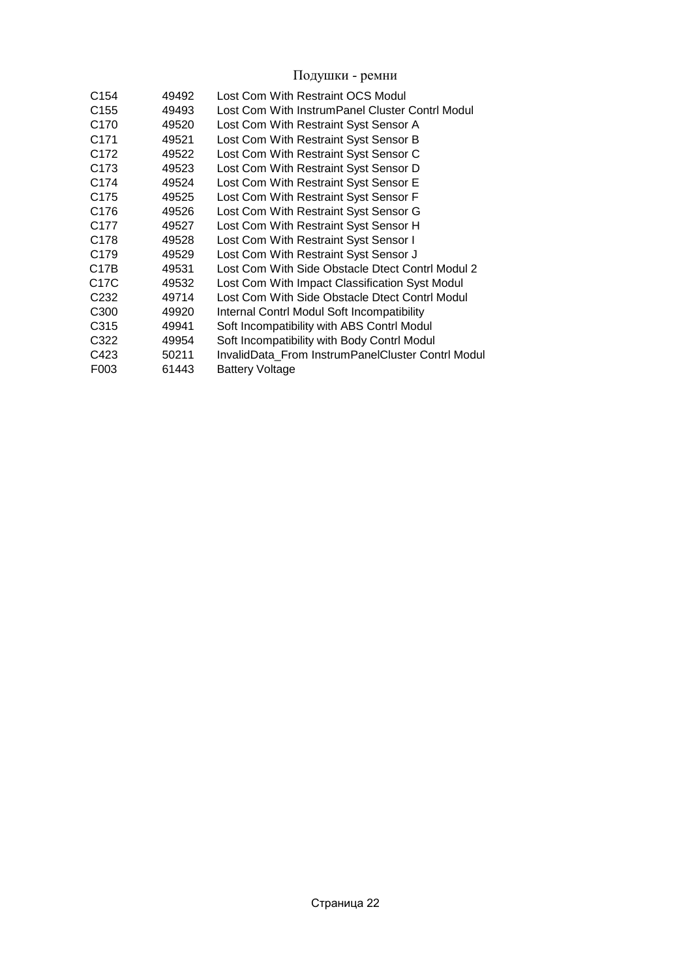| C <sub>154</sub> | 49492 | Lost Com With Restraint OCS Modul                 |
|------------------|-------|---------------------------------------------------|
| C <sub>155</sub> | 49493 | Lost Com With InstrumPanel Cluster Contrl Modul   |
| C <sub>170</sub> | 49520 | Lost Com With Restraint Syst Sensor A             |
| C <sub>171</sub> | 49521 | Lost Com With Restraint Syst Sensor B             |
| C <sub>172</sub> | 49522 | Lost Com With Restraint Syst Sensor C             |
| C <sub>173</sub> | 49523 | Lost Com With Restraint Syst Sensor D             |
| C <sub>174</sub> | 49524 | Lost Com With Restraint Syst Sensor E             |
| C <sub>175</sub> | 49525 | Lost Com With Restraint Syst Sensor F             |
| C <sub>176</sub> | 49526 | Lost Com With Restraint Syst Sensor G             |
| C <sub>177</sub> | 49527 | Lost Com With Restraint Syst Sensor H             |
| C <sub>178</sub> | 49528 | Lost Com With Restraint Syst Sensor I             |
| C <sub>179</sub> | 49529 | Lost Com With Restraint Syst Sensor J             |
| C17B             | 49531 | Lost Com With Side Obstacle Dtect Contrl Modul 2  |
| C17C             | 49532 | Lost Com With Impact Classification Syst Modul    |
| C <sub>232</sub> | 49714 | Lost Com With Side Obstacle Dtect Contrl Modul    |
| C <sub>300</sub> | 49920 | Internal Contrl Modul Soft Incompatibility        |
| C315             | 49941 | Soft Incompatibility with ABS Contrl Modul        |
| C322             | 49954 | Soft Incompatibility with Body Contrl Modul       |
| C423             | 50211 | InvalidData From InstrumPanelCluster Contrl Modul |
| F003             | 61443 | <b>Battery Voltage</b>                            |
|                  |       |                                                   |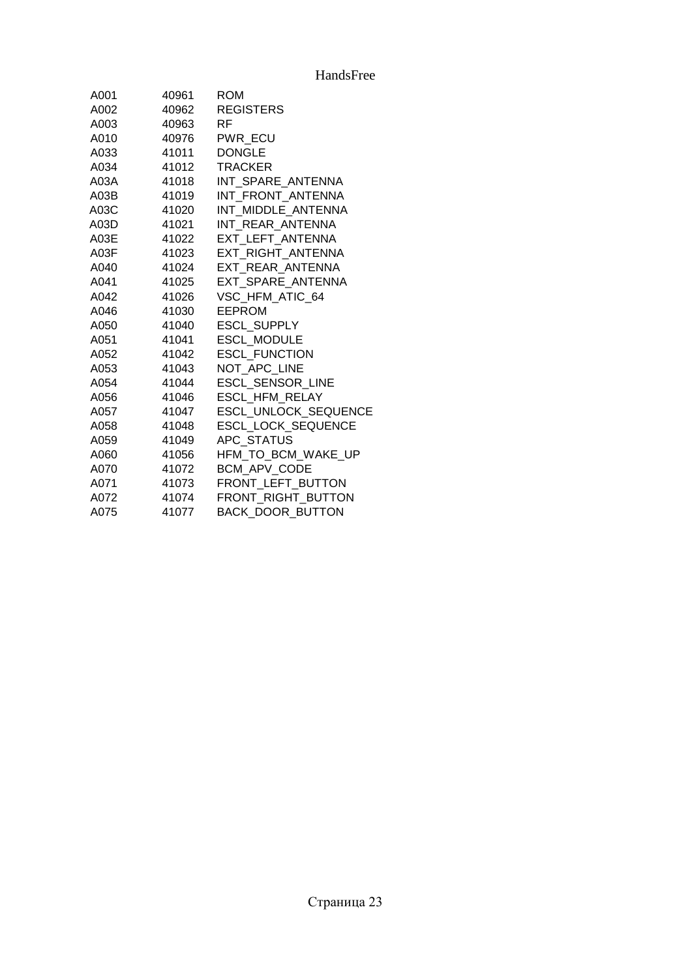| A001 | 40961 | <b>ROM</b>                  |
|------|-------|-----------------------------|
| A002 | 40962 | <b>REGISTERS</b>            |
| A003 | 40963 | RF.                         |
| A010 | 40976 | PWR_ECU                     |
| A033 | 41011 | <b>DONGLE</b>               |
| A034 | 41012 | <b>TRACKER</b>              |
| A03A | 41018 | INT SPARE ANTENNA           |
| A03B | 41019 | INT FRONT ANTENNA           |
| A03C | 41020 | INT MIDDLE ANTENNA          |
| A03D | 41021 | INT REAR ANTENNA            |
| A03E | 41022 | EXT LEFT ANTENNA            |
| A03F | 41023 | EXT RIGHT ANTENNA           |
| A040 | 41024 | EXT REAR ANTENNA            |
| A041 | 41025 | EXT SPARE ANTENNA           |
| A042 | 41026 | VSC HFM ATIC 64             |
| A046 | 41030 | <b>EEPROM</b>               |
| A050 | 41040 | <b>ESCL SUPPLY</b>          |
| A051 | 41041 | <b>ESCL MODULE</b>          |
| A052 | 41042 | <b>ESCL FUNCTION</b>        |
| A053 | 41043 | NOT APC LINE                |
| A054 | 41044 | <b>ESCL SENSOR LINE</b>     |
| A056 | 41046 | <b>ESCL HFM RELAY</b>       |
| A057 | 41047 | <b>ESCL UNLOCK SEQUENCE</b> |
| A058 | 41048 | <b>ESCL LOCK SEQUENCE</b>   |
| A059 | 41049 | APC STATUS                  |
| A060 | 41056 | HFM_TO_BCM_WAKE_UP          |
| A070 | 41072 | <b>BCM APV CODE</b>         |
| A071 | 41073 | FRONT LEFT BUTTON           |
| A072 | 41074 | FRONT RIGHT BUTTON          |
| A075 | 41077 | <b>BACK DOOR BUTTON</b>     |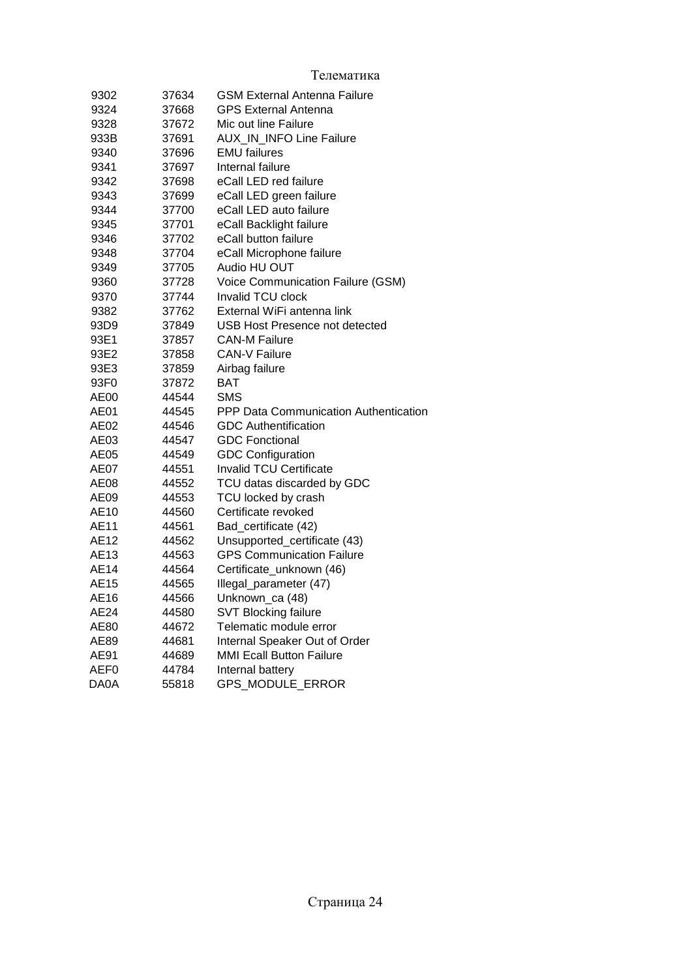| Телематика |
|------------|
|------------|

| 9302 | 37634 | <b>GSM External Antenna Failure</b>   |
|------|-------|---------------------------------------|
| 9324 | 37668 | <b>GPS External Antenna</b>           |
| 9328 | 37672 | Mic out line Failure                  |
| 933B | 37691 | AUX_IN_INFO Line Failure              |
| 9340 | 37696 | <b>EMU</b> failures                   |
| 9341 | 37697 | Internal failure                      |
| 9342 | 37698 | eCall LED red failure                 |
| 9343 | 37699 | eCall LED green failure               |
| 9344 | 37700 | eCall LED auto failure                |
| 9345 | 37701 | eCall Backlight failure               |
| 9346 | 37702 | eCall button failure                  |
| 9348 | 37704 | eCall Microphone failure              |
| 9349 | 37705 | Audio HU OUT                          |
| 9360 | 37728 | Voice Communication Failure (GSM)     |
| 9370 | 37744 | Invalid TCU clock                     |
| 9382 | 37762 | External WiFi antenna link            |
| 93D9 | 37849 | USB Host Presence not detected        |
| 93E1 | 37857 | <b>CAN-M Failure</b>                  |
| 93E2 | 37858 | <b>CAN-V Failure</b>                  |
| 93E3 | 37859 | Airbag failure                        |
| 93F0 | 37872 | BAT                                   |
| AE00 | 44544 | <b>SMS</b>                            |
| AE01 | 44545 | PPP Data Communication Authentication |
| AE02 | 44546 | <b>GDC Authentification</b>           |
| AE03 | 44547 | <b>GDC Fonctional</b>                 |
| AE05 | 44549 | <b>GDC Configuration</b>              |
| AE07 | 44551 | <b>Invalid TCU Certificate</b>        |
| AE08 | 44552 | TCU datas discarded by GDC            |
| AE09 | 44553 | TCU locked by crash                   |
| AE10 | 44560 | Certificate revoked                   |
| AE11 | 44561 | Bad_certificate (42)                  |
| AE12 | 44562 | Unsupported_certificate (43)          |
| AE13 | 44563 | <b>GPS Communication Failure</b>      |
| AE14 | 44564 | Certificate_unknown (46)              |
| AE15 | 44565 | Illegal_parameter (47)                |
| AE16 | 44566 | Unknown_ca (48)                       |
| AE24 | 44580 | <b>SVT Blocking failure</b>           |
| AE80 | 44672 | Telematic module error                |
| AE89 | 44681 | Internal Speaker Out of Order         |
| AE91 | 44689 | <b>MMI Ecall Button Failure</b>       |
| AEF0 | 44784 | Internal battery                      |
| DA0A | 55818 | GPS_MODULE_ERROR                      |